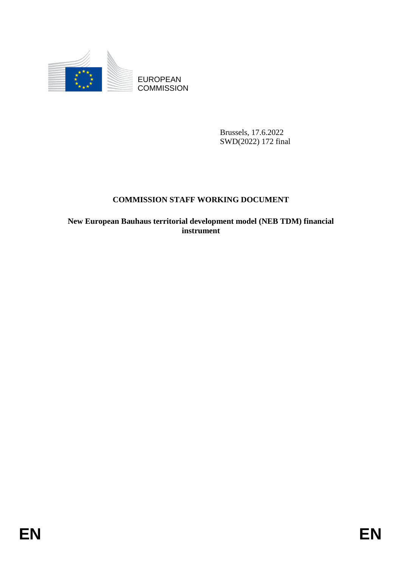

**COMMISSION** 

Brussels, 17.6.2022 SWD(2022) 172 final

## **COMMISSION STAFF WORKING DOCUMENT**

EUROPEAN<br>
EDISCRIPT (FOR ENDS COMMISSION<br>
ENVIRONCE) 1772 final<br>
COMMISSION STAFF WORKING DOCUMENT<br>
New European Bunharo terriforial development model (NEB TDM) financial<br>
Instrument<br>
FOR **New European Bauhaus territorial development model (NEB TDM) financial instrument**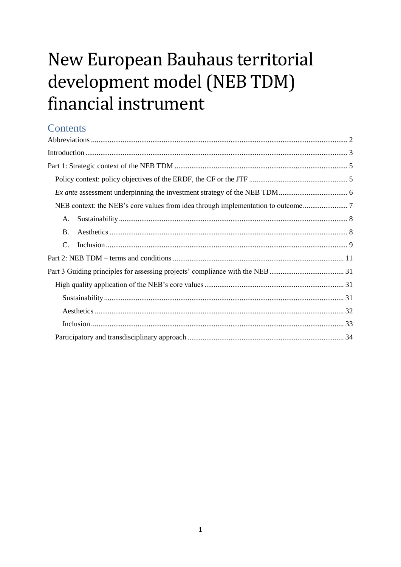# New European Bauhaus territorial development model (NEB TDM) financial instrument

# **Contents**

| A.            |  |  |
|---------------|--|--|
| <b>B.</b>     |  |  |
| $\mathcal{C}$ |  |  |
|               |  |  |
|               |  |  |
|               |  |  |
|               |  |  |
|               |  |  |
|               |  |  |
|               |  |  |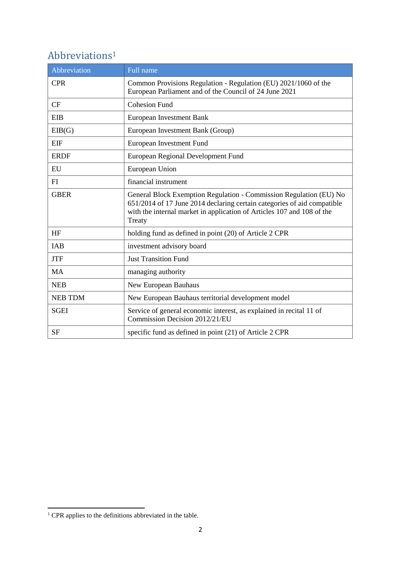# <span id="page-2-0"></span>Abbreviations<sup>1</sup>

| Abbreviation   | Full name                                                                                                                                                                                                                         |
|----------------|-----------------------------------------------------------------------------------------------------------------------------------------------------------------------------------------------------------------------------------|
| <b>CPR</b>     | Common Provisions Regulation - Regulation (EU) 2021/1060 of the<br>European Parliament and of the Council of 24 June 2021                                                                                                         |
| CF             | <b>Cohesion Fund</b>                                                                                                                                                                                                              |
| <b>EIB</b>     | European Investment Bank                                                                                                                                                                                                          |
| EIB(G)         | European Investment Bank (Group)                                                                                                                                                                                                  |
| <b>EIF</b>     | European Investment Fund                                                                                                                                                                                                          |
| <b>ERDF</b>    | European Regional Development Fund                                                                                                                                                                                                |
| EU             | European Union                                                                                                                                                                                                                    |
| FI             | financial instrument                                                                                                                                                                                                              |
| <b>GBER</b>    | General Block Exemption Regulation - Commission Regulation (EU) No<br>651/2014 of 17 June 2014 declaring certain categories of aid compatible<br>with the internal market in application of Articles 107 and 108 of the<br>Treaty |
| <b>HF</b>      | holding fund as defined in point (20) of Article 2 CPR                                                                                                                                                                            |
| IAB            | investment advisory board                                                                                                                                                                                                         |
| <b>JTF</b>     | <b>Just Transition Fund</b>                                                                                                                                                                                                       |
| <b>MA</b>      | managing authority                                                                                                                                                                                                                |
| <b>NEB</b>     | New European Bauhaus                                                                                                                                                                                                              |
| <b>NEB TDM</b> | New European Bauhaus territorial development model                                                                                                                                                                                |
| <b>SGEI</b>    | Service of general economic interest, as explained in recital 11 of<br>Commission Decision 2012/21/EU                                                                                                                             |
| <b>SF</b>      | specific fund as defined in point (21) of Article 2 CPR                                                                                                                                                                           |

1

 $1$  CPR applies to the definitions abbreviated in the table.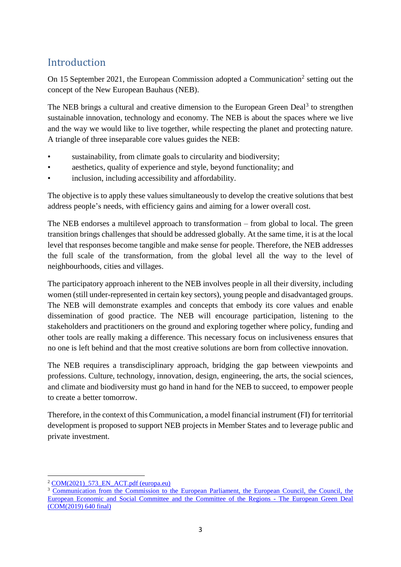# <span id="page-3-0"></span>Introduction

On 15 September 2021, the European Commission adopted a Communication<sup>2</sup> setting out the concept of the New European Bauhaus (NEB).

The NEB brings a cultural and creative dimension to the European Green Deal<sup>3</sup> to strengthen sustainable innovation, technology and economy. The NEB is about the spaces where we live and the way we would like to live together, while respecting the planet and protecting nature. A triangle of three inseparable core values guides the NEB:

- sustainability, from climate goals to circularity and biodiversity;
- aesthetics, quality of experience and style, beyond functionality; and
- inclusion, including accessibility and affordability.

The objective is to apply these values simultaneously to develop the creative solutions that best address people's needs, with efficiency gains and aiming for a lower overall cost.

The NEB endorses a multilevel approach to transformation – from global to local. The green transition brings challenges that should be addressed globally. At the same time, it is at the local level that responses become tangible and make sense for people. Therefore, the NEB addresses the full scale of the transformation, from the global level all the way to the level of neighbourhoods, cities and villages.

The participatory approach inherent to the NEB involves people in all their diversity, including women (still under-represented in certain key sectors), young people and disadvantaged groups. The NEB will demonstrate examples and concepts that embody its core values and enable dissemination of good practice. The NEB will encourage participation, listening to the stakeholders and practitioners on the ground and exploring together where policy, funding and other tools are really making a difference. This necessary focus on inclusiveness ensures that no one is left behind and that the most creative solutions are born from collective innovation.

The NEB requires a transdisciplinary approach, bridging the gap between viewpoints and professions. Culture, technology, innovation, design, engineering, the arts, the social sciences, and climate and biodiversity must go hand in hand for the NEB to succeed, to empower people to create a better tomorrow.

Therefore, in the context of this Communication, a model financial instrument (FI) for territorial development is proposed to support NEB projects in Member States and to leverage public and private investment.

<sup>1</sup> <sup>2</sup> COM(2021) 573 EN ACT.pdf (europa.eu)

<sup>&</sup>lt;sup>3</sup> Communication from the Commission to the European Parliament, the European Council, the Council, the European Economic and Social [Committee and the Committee of the Regions -](https://eur-lex.europa.eu/resource.html?uri=cellar:b828d165-1c22-11ea-8c1f-01aa75ed71a1.0002.02/DOC_1&format=PDF) The European Green Deal [\(COM\(2019\) 640 final\)](https://eur-lex.europa.eu/resource.html?uri=cellar:b828d165-1c22-11ea-8c1f-01aa75ed71a1.0002.02/DOC_1&format=PDF)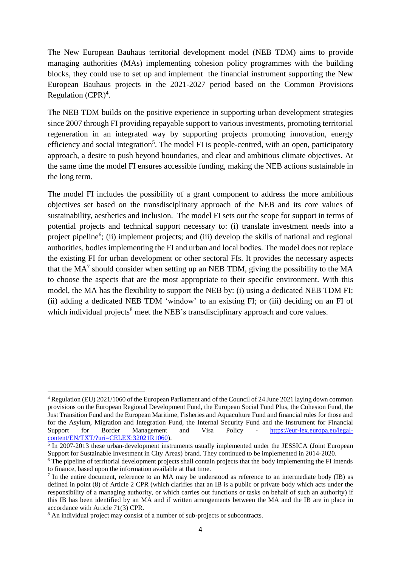The New European Bauhaus territorial development model (NEB TDM) aims to provide managing authorities (MAs) implementing cohesion policy programmes with the building blocks, they could use to set up and implement the financial instrument supporting the New European Bauhaus projects in the 2021-2027 period based on the Common Provisions Regulation (CPR) 4 .

The NEB TDM builds on the positive experience in supporting urban development strategies since 2007 through FI providing repayable support to various investments, promoting territorial regeneration in an integrated way by supporting projects promoting innovation, energy efficiency and social integration<sup>5</sup>. The model FI is people-centred, with an open, participatory approach, a desire to push beyond boundaries, and clear and ambitious climate objectives. At the same time the model FI ensures accessible funding, making the NEB actions sustainable in the long term.

The model FI includes the possibility of a grant component to address the more ambitious objectives set based on the transdisciplinary approach of the NEB and its core values of sustainability, aesthetics and inclusion. The model FI sets out the scope for support in terms of potential projects and technical support necessary to: (i) translate investment needs into a project pipeline<sup>6</sup>; (ii) implement projects; and (iii) develop the skills of national and regional authorities, bodies implementing the FI and urban and local bodies. The model does not replace the existing FI for urban development or other sectoral FIs. It provides the necessary aspects that the  $MA<sup>7</sup>$  should consider when setting up an NEB TDM, giving the possibility to the MA to choose the aspects that are the most appropriate to their specific environment. With this model, the MA has the flexibility to support the NEB by: (i) using a dedicated NEB TDM FI; (ii) adding a dedicated NEB TDM 'window' to an existing FI; or (iii) deciding on an FI of which individual projects<sup>8</sup> meet the NEB's transdisciplinary approach and core values.

<sup>4</sup> Regulation (EU) 2021/1060 of the European Parliament and of the Council of 24 June 2021 laying down common provisions on the European Regional Development Fund, the European Social Fund Plus, the Cohesion Fund, the Just Transition Fund and the European Maritime, Fisheries and Aquaculture Fund and financial rules for those and for the Asylum, Migration and Integration Fund, the Internal Security Fund and the Instrument for Financial Support for Border Management and Visa Policy - [https://eur-lex.europa.eu/legal](https://eur-lex.europa.eu/legal-content/EN/TXT/?uri=CELEX:32021R1060)[content/EN/TXT/?uri=CELEX:32021R1060\)](https://eur-lex.europa.eu/legal-content/EN/TXT/?uri=CELEX:32021R1060).

<sup>&</sup>lt;sup>5</sup> In 2007-2013 these urban-development instruments usually implemented under the JESSICA (Joint European Support for Sustainable Investment in City Areas) brand. They continued to be implemented in 2014-2020.

<sup>&</sup>lt;sup>6</sup> The pipeline of territorial development projects shall contain projects that the body implementing the FI intends to finance, based upon the information available at that time.

<sup>&</sup>lt;sup>7</sup> In the entire document, reference to an MA may be understood as reference to an intermediate body (IB) as defined in point (8) of Article 2 CPR (which clarifies that an IB is a public or private body which acts under the responsibility of a managing authority, or which carries out functions or tasks on behalf of such an authority) if this IB has been identified by an MA and if written arrangements between the MA and the IB are in place in accordance with Article 71(3) CPR.

<sup>&</sup>lt;sup>8</sup> An individual project may consist of a number of sub-projects or subcontracts.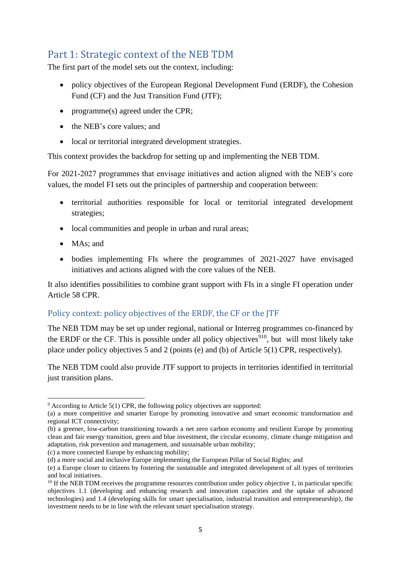## <span id="page-5-0"></span>Part 1: Strategic context of the NEB TDM

The first part of the model sets out the context, including:

- policy objectives of the European Regional Development Fund (ERDF), the Cohesion Fund (CF) and the Just Transition Fund (JTF);
- programme(s) agreed under the CPR;
- the NEB's core values; and
- local or territorial integrated development strategies.

This context provides the backdrop for setting up and implementing the NEB TDM.

For 2021-2027 programmes that envisage initiatives and action aligned with the NEB's core values, the model FI sets out the principles of partnership and cooperation between:

- territorial authorities responsible for local or territorial integrated development strategies;
- local communities and people in urban and rural areas;
- MAs: and
- bodies implementing FIs where the programmes of 2021-2027 have envisaged initiatives and actions aligned with the core values of the NEB.

It also identifies possibilities to combine grant support with FIs in a single FI operation under Article 58 CPR.

## <span id="page-5-1"></span>Policy context: policy objectives of the ERDF, the CF or the JTF

The NEB TDM may be set up under regional, national or Interreg programmes co-financed by the ERDF or the CF. This is possible under all policy objectives<sup>910</sup>, but will most likely take place under policy objectives 5 and 2 (points (e) and (b) of Article 5(1) CPR, respectively).

The NEB TDM could also provide JTF support to projects in territories identified in territorial just transition plans.

 $\overline{\phantom{a}}$  $9$  According to Article 5(1) CPR, the following policy objectives are supported:

<sup>(</sup>a) a more competitive and smarter Europe by promoting innovative and smart economic transformation and regional ICT connectivity;

<sup>(</sup>b) a greener, low-carbon transitioning towards a net zero carbon economy and resilient Europe by promoting clean and fair energy transition, green and blue investment, the circular economy, climate change mitigation and adaptation, risk prevention and management, and sustainable urban mobility;

<sup>(</sup>c) a more connected Europe by enhancing mobility;

<sup>(</sup>d) a more social and inclusive Europe implementing the European Pillar of Social Rights; and

<sup>(</sup>e) a Europe closer to citizens by fostering the sustainable and integrated development of all types of territories and local initiatives.

 $10$  If the NEB TDM receives the programme resources contribution under policy objective 1, in particular specific objectives 1.1 (developing and enhancing research and innovation capacities and the uptake of advanced technologies) and 1.4 (developing skills for smart specialisation, industrial transition and entrepreneurship), the investment needs to be in line with the relevant smart specialisation strategy.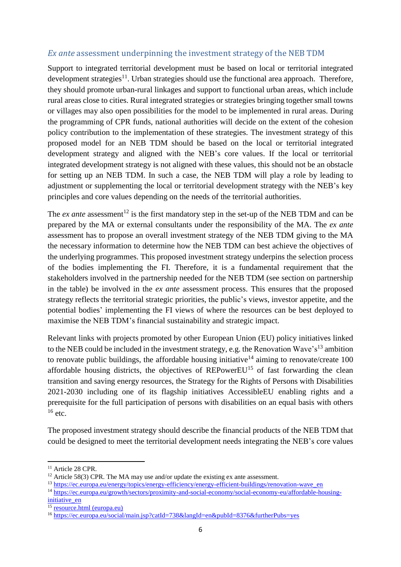#### <span id="page-6-0"></span>*Ex ante* assessment underpinning the investment strategy of the NEB TDM

Support to integrated territorial development must be based on local or territorial integrated development strategies<sup>11</sup>. Urban strategies should use the functional area approach. Therefore, they should promote urban-rural linkages and support to functional urban areas, which include rural areas close to cities. Rural integrated strategies or strategies bringing together small towns or villages may also open possibilities for the model to be implemented in rural areas. During the programming of CPR funds, national authorities will decide on the extent of the cohesion policy contribution to the implementation of these strategies. The investment strategy of this proposed model for an NEB TDM should be based on the local or territorial integrated development strategy and aligned with the NEB's core values. If the local or territorial integrated development strategy is not aligned with these values, this should not be an obstacle for setting up an NEB TDM. In such a case, the NEB TDM will play a role by leading to adjustment or supplementing the local or territorial development strategy with the NEB's key principles and core values depending on the needs of the territorial authorities.

The *ex ante* assessment<sup>12</sup> is the first mandatory step in the set-up of the NEB TDM and can be prepared by the MA or external consultants under the responsibility of the MA. The *ex ante* assessment has to propose an overall investment strategy of the NEB TDM giving to the MA the necessary information to determine how the NEB TDM can best achieve the objectives of the underlying programmes. This proposed investment strategy underpins the selection process of the bodies implementing the FI. Therefore, it is a fundamental requirement that the stakeholders involved in the partnership needed for the NEB TDM (see section on partnership in the table) be involved in the *ex ante* assessment process. This ensures that the proposed strategy reflects the territorial strategic priorities, the public's views, investor appetite, and the potential bodies' implementing the FI views of where the resources can be best deployed to maximise the NEB TDM's financial sustainability and strategic impact.

Relevant links with projects promoted by other European Union (EU) policy initiatives linked to the NEB could be included in the investment strategy, e.g. the Renovation Wave's<sup>13</sup> ambition to renovate public buildings, the affordable housing initiative<sup>14</sup> aiming to renovate/create 100 affordable housing districts, the objectives of REPowerEU<sup>15</sup> of fast forwarding the clean transition and saving energy resources, the Strategy for the Rights of Persons with Disabilities 2021-2030 including one of its flagship initiatives AccessibleEU enabling rights and a prerequisite for the full participation of persons with disabilities on an equal basis with others  $16$  etc.

The proposed investment strategy should describe the financial products of the NEB TDM that could be designed to meet the territorial development needs integrating the NEB's core values

<sup>&</sup>lt;sup>11</sup> Article 28 CPR.

<sup>&</sup>lt;sup>12</sup> Article 58(3) CPR. The MA may use and/or update the existing ex ante assessment.

<sup>13</sup> [https://ec.europa.eu/energy/topics/energy-efficiency/energy-efficient-buildings/renovation-wave\\_en](https://ec.europa.eu/energy/topics/energy-efficiency/energy-efficient-buildings/renovation-wave_en)

<sup>14</sup> [https://ec.europa.eu/growth/sectors/proximity-and-social-economy/social-economy-eu/affordable-housing](https://ec.europa.eu/growth/sectors/proximity-and-social-economy/social-economy-eu/affordable-housing-initiative_en)initiative en

<sup>15</sup> [resource.html \(europa.eu\)](https://eur-lex.europa.eu/resource.html?uri=cellar:fc930f14-d7ae-11ec-a95f-01aa75ed71a1.0001.02/DOC_1&format=PDF)

<sup>16</sup> <https://ec.europa.eu/social/main.jsp?catId=738&langId=en&pubId=8376&furtherPubs=yes>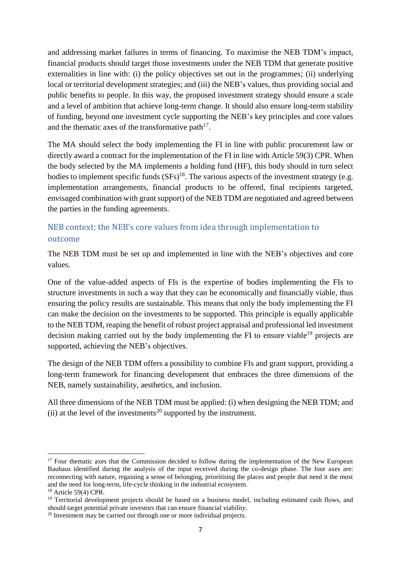and addressing market failures in terms of financing. To maximise the NEB TDM's impact, financial products should target those investments under the NEB TDM that generate positive externalities in line with: (i) the policy objectives set out in the programmes; (ii) underlying local or territorial development strategies; and (iii) the NEB's values, thus providing social and public benefits to people. In this way, the proposed investment strategy should ensure a scale and a level of ambition that achieve long-term change. It should also ensure long-term stability of funding, beyond one investment cycle supporting the NEB's key principles and core values and the thematic axes of the transformative path $17$ .

The MA should select the body implementing the FI in line with public procurement law or directly award a contract for the implementation of the FI in line with Article 59(3) CPR. When the body selected by the MA implements a holding fund (HF), this body should in turn select bodies to implement specific funds  $(SFs)^{18}$ . The various aspects of the investment strategy (e.g. implementation arrangements, financial products to be offered, final recipients targeted, envisaged combination with grant support) of the NEB TDM are negotiated and agreed between the parties in the funding agreements.

## <span id="page-7-0"></span>NEB context: the NEB's core values from idea through implementation to outcome

The NEB TDM must be set up and implemented in line with the NEB's objectives and core values.

One of the value-added aspects of FIs is the expertise of bodies implementing the FIs to structure investments in such a way that they can be economically and financially viable, thus ensuring the policy results are sustainable. This means that only the body implementing the FI can make the decision on the investments to be supported. This principle is equally applicable to the NEB TDM, reaping the benefit of robust project appraisal and professional led investment decision making carried out by the body implementing the FI to ensure viable<sup>19</sup> projects are supported, achieving the NEB's objectives.

The design of the NEB TDM offers a possibility to combine FIs and grant support, providing a long-term framework for financing development that embraces the three dimensions of the NEB, namely sustainability, aesthetics, and inclusion.

All three dimensions of the NEB TDM must be applied: (i) when designing the NEB TDM; and (ii) at the level of the investments<sup>20</sup> supported by the instrument.

1

 $17$  Four thematic axes that the Commission decided to follow during the implementation of the New European Bauhaus identified during the analysis of the input received during the co-design phase. The four axes are: reconnecting with nature, regaining a sense of belonging, prioritising the places and people that need it the most and the need for long-term, life-cycle thinking in the industrial ecosystem.

<sup>18</sup> Article 59(4) CPR.

<sup>&</sup>lt;sup>19</sup> Territorial development projects should be based on a business model, including estimated cash flows, and should target potential private investors that can ensure financial viability.

<sup>&</sup>lt;sup>20</sup> Investment may be carried out through one or more individual projects.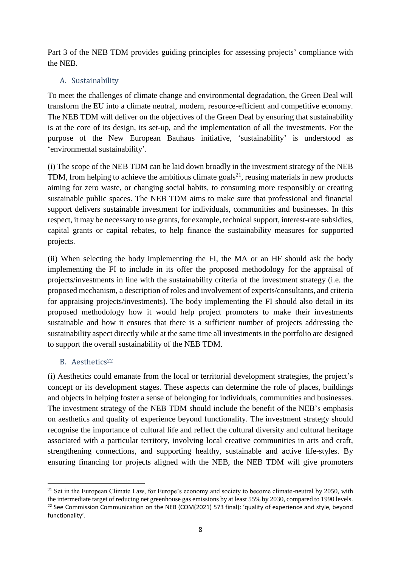Part 3 of the NEB TDM provides guiding principles for assessing projects' compliance with the NEB.

## <span id="page-8-0"></span>A. Sustainability

To meet the challenges of climate change and environmental degradation, the Green Deal will transform the EU into a climate neutral, modern, resource-efficient and competitive economy. The NEB TDM will deliver on the objectives of the Green Deal by ensuring that sustainability is at the core of its design, its set-up, and the implementation of all the investments. For the purpose of the New European Bauhaus initiative, 'sustainability' is understood as 'environmental sustainability'.

(i) The scope of the NEB TDM can be laid down broadly in the investment strategy of the NEB TDM, from helping to achieve the ambitious climate goals<sup>21</sup>, reusing materials in new products aiming for zero waste, or changing social habits, to consuming more responsibly or creating sustainable public spaces. The NEB TDM aims to make sure that professional and financial support delivers sustainable investment for individuals, communities and businesses. In this respect, it may be necessary to use grants, for example, technical support, interest-rate subsidies, capital grants or capital rebates, to help finance the sustainability measures for supported projects.

(ii) When selecting the body implementing the FI, the MA or an HF should ask the body implementing the FI to include in its offer the proposed methodology for the appraisal of projects/investments in line with the sustainability criteria of the investment strategy (i.e. the proposed mechanism, a description of roles and involvement of experts/consultants, and criteria for appraising projects/investments). The body implementing the FI should also detail in its proposed methodology how it would help project promoters to make their investments sustainable and how it ensures that there is a sufficient number of projects addressing the sustainability aspect directly while at the same time all investments in the portfolio are designed to support the overall sustainability of the NEB TDM.

## <span id="page-8-1"></span>B. Aesthetics<sup>22</sup>

1

(i) Aesthetics could emanate from the local or territorial development strategies, the project's concept or its development stages. These aspects can determine the role of places, buildings and objects in helping foster a sense of belonging for individuals, communities and businesses. The investment strategy of the NEB TDM should include the benefit of the NEB's emphasis on aesthetics and quality of experience beyond functionality. The investment strategy should recognise the importance of cultural life and reflect the cultural diversity and cultural heritage associated with a particular territory, involving local creative communities in arts and craft, strengthening connections, and supporting healthy, sustainable and active life-styles. By ensuring financing for projects aligned with the NEB, the NEB TDM will give promoters

 $21$  Set in the European Climate Law, for Europe's economy and society to become climate-neutral by 2050, with the intermediate target of reducing net greenhouse gas emissions by at least 55% by 2030, compared to 1990 levels. <sup>22</sup> See Commission Communication on the NEB (COM(2021) 573 final): 'quality of experience and style, beyond functionality'.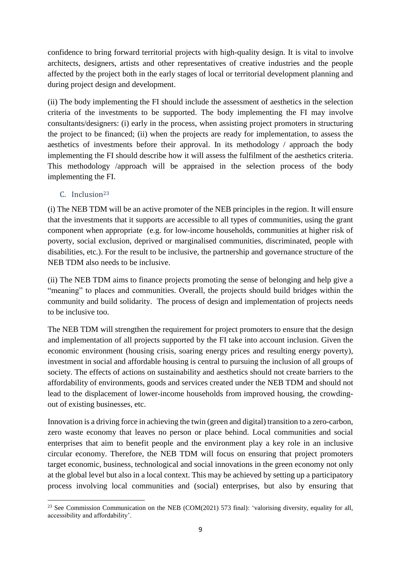confidence to bring forward territorial projects with high-quality design. It is vital to involve architects, designers, artists and other representatives of creative industries and the people affected by the project both in the early stages of local or territorial development planning and during project design and development.

(ii) The body implementing the FI should include the assessment of aesthetics in the selection criteria of the investments to be supported. The body implementing the FI may involve consultants/designers: (i) early in the process, when assisting project promoters in structuring the project to be financed; (ii) when the projects are ready for implementation, to assess the aesthetics of investments before their approval. In its methodology / approach the body implementing the FI should describe how it will assess the fulfilment of the aesthetics criteria. This methodology /approach will be appraised in the selection process of the body implementing the FI.

#### <span id="page-9-0"></span>C. Inclusion<sup>23</sup>

(i) The NEB TDM will be an active promoter of the NEB principles in the region. It will ensure that the investments that it supports are accessible to all types of communities, using the grant component when appropriate (e.g. for low-income households, communities at higher risk of poverty, social exclusion, deprived or marginalised communities, discriminated, people with disabilities, etc.). For the result to be inclusive, the partnership and governance structure of the NEB TDM also needs to be inclusive.

(ii) The NEB TDM aims to finance projects promoting the sense of belonging and help give a "meaning" to places and communities. Overall, the projects should build bridges within the community and build solidarity. The process of design and implementation of projects needs to be inclusive too.

The NEB TDM will strengthen the requirement for project promoters to ensure that the design and implementation of all projects supported by the FI take into account inclusion. Given the economic environment (housing crisis, soaring energy prices and resulting energy poverty), investment in social and affordable housing is central to pursuing the inclusion of all groups of society. The effects of actions on sustainability and aesthetics should not create barriers to the affordability of environments, goods and services created under the NEB TDM and should not lead to the displacement of lower-income households from improved housing, the crowdingout of existing businesses, etc.

Innovation is a driving force in achieving the twin (green and digital) transition to a zero-carbon, zero waste economy that leaves no person or place behind. Local communities and social enterprises that aim to benefit people and the environment play a key role in an inclusive circular economy. Therefore, the NEB TDM will focus on ensuring that project promoters target economic, business, technological and social innovations in the green economy not only at the global level but also in a local context. This may be achieved by setting up a participatory process involving local communities and (social) enterprises, but also by ensuring that

 $\overline{a}$ <sup>23</sup> See Commission Communication on the NEB (COM(2021) 573 final): 'valorising diversity, equality for all, accessibility and affordability'.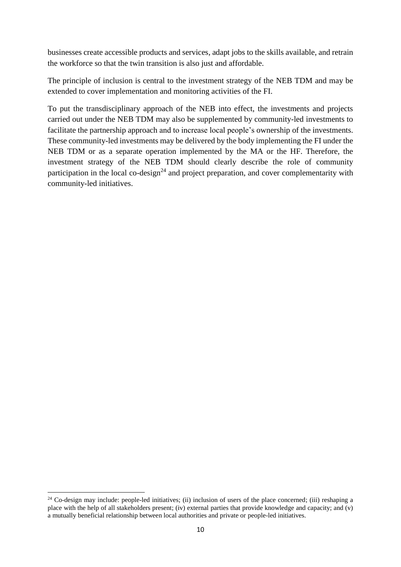businesses create accessible products and services, adapt jobs to the skills available, and retrain the workforce so that the twin transition is also just and affordable.

The principle of inclusion is central to the investment strategy of the NEB TDM and may be extended to cover implementation and monitoring activities of the FI.

To put the transdisciplinary approach of the NEB into effect, the investments and projects carried out under the NEB TDM may also be supplemented by community-led investments to facilitate the partnership approach and to increase local people's ownership of the investments. These community-led investments may be delivered by the body implementing the FI under the NEB TDM or as a separate operation implemented by the MA or the HF. Therefore, the investment strategy of the NEB TDM should clearly describe the role of community participation in the local co-design<sup>24</sup> and project preparation, and cover complementarity with community-led initiatives.

 $24$  Co-design may include: people-led initiatives; (ii) inclusion of users of the place concerned; (iii) reshaping a place with the help of all stakeholders present; (iv) external parties that provide knowledge and capacity; and (v) a mutually beneficial relationship between local authorities and private or people-led initiatives.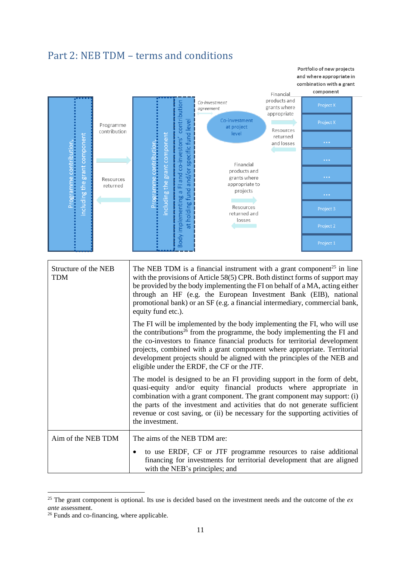## <span id="page-11-0"></span>Part 2: NEB TDM – terms and conditions

and where appropriate in combination with a grant component Financial products and Co-investment contribution agreement grants where appropriate Co-investment level Programme at project Programme contribution, contribution Resources at holding fund and/or specific fund level ncluding the grant component including the grant component returned implementing a FI and co-investors' Programme contribution, and losses Financial products and grants where Resources appropriate to returned projects Resources returned and losses Body Structure of the NEB The NEB TDM is a financial instrument with a grant component<sup>25</sup> in line TDM with the provisions of Article 58(5) CPR. Both distinct forms of support may be provided by the body implementing the FI on behalf of a MA, acting either through an HF (e.g. the European Investment Bank (EIB), national promotional bank) or an SF (e.g. a financial intermediary, commercial bank, equity fund etc.). The FI will be implemented by the body implementing the FI, who will use the contributions<sup>26</sup> from the programme, the body implementing the FI and the co-investors to finance financial products for territorial development projects, combined with a grant component where appropriate. Territorial development projects should be aligned with the principles of the NEB and eligible under the ERDF, the CF or the JTF. The model is designed to be an FI providing support in the form of debt, quasi-equity and/or equity financial products where appropriate in combination with a grant component. The grant component may support: (i) the parts of the investment and activities that do not generate sufficient revenue or cost saving, or (ii) be necessary for the supporting activities of the investment. Aim of the NEB TDM  $\parallel$  The aims of the NEB TDM are: to use ERDF, CF or JTF programme resources to raise additional financing for investments for territorial development that are aligned with the NEB's principles; and

Portfolio of new projects

<sup>25</sup> The grant component is optional. Its use is decided based on the investment needs and the outcome of the *ex ante* assessment.

 $26$  Funds and co-financing, where applicable.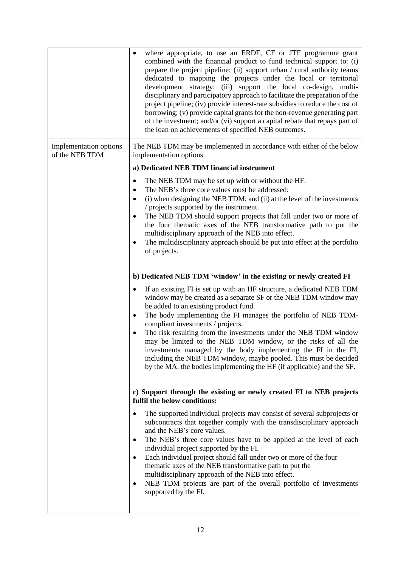|                                          | where appropriate, to use an ERDF, CF or JTF programme grant<br>$\bullet$<br>combined with the financial product to fund technical support to: (i)<br>prepare the project pipeline; (ii) support urban / rural authority teams<br>dedicated to mapping the projects under the local or territorial<br>development strategy; (iii) support the local co-design, multi-<br>disciplinary and participatory approach to facilitate the preparation of the<br>project pipeline; (iv) provide interest-rate subsidies to reduce the cost of<br>borrowing; (v) provide capital grants for the non-revenue generating part<br>of the investment; and/or (vi) support a capital rebate that repays part of<br>the loan on achievements of specified NEB outcomes. |
|------------------------------------------|----------------------------------------------------------------------------------------------------------------------------------------------------------------------------------------------------------------------------------------------------------------------------------------------------------------------------------------------------------------------------------------------------------------------------------------------------------------------------------------------------------------------------------------------------------------------------------------------------------------------------------------------------------------------------------------------------------------------------------------------------------|
| Implementation options<br>of the NEB TDM | The NEB TDM may be implemented in accordance with either of the below<br>implementation options.                                                                                                                                                                                                                                                                                                                                                                                                                                                                                                                                                                                                                                                         |
|                                          | a) Dedicated NEB TDM financial instrument                                                                                                                                                                                                                                                                                                                                                                                                                                                                                                                                                                                                                                                                                                                |
|                                          | The NEB TDM may be set up with or without the HF.<br>The NEB's three core values must be addressed:<br>(i) when designing the NEB TDM; and (ii) at the level of the investments<br>$\bullet$<br>/ projects supported by the instrument.<br>The NEB TDM should support projects that fall under two or more of<br>the four thematic axes of the NEB transformative path to put the                                                                                                                                                                                                                                                                                                                                                                        |
|                                          | multidisciplinary approach of the NEB into effect.<br>The multidisciplinary approach should be put into effect at the portfolio<br>of projects.                                                                                                                                                                                                                                                                                                                                                                                                                                                                                                                                                                                                          |
|                                          | b) Dedicated NEB TDM 'window' in the existing or newly created FI                                                                                                                                                                                                                                                                                                                                                                                                                                                                                                                                                                                                                                                                                        |
|                                          | If an existing FI is set up with an HF structure, a dedicated NEB TDM<br>٠<br>window may be created as a separate SF or the NEB TDM window may<br>be added to an existing product fund.<br>The body implementing the FI manages the portfolio of NEB TDM-<br>٠<br>compliant investments / projects.<br>The risk resulting from the investments under the NEB TDM window<br>may be limited to the NEB TDM window, or the risks of all the<br>investments managed by the body implementing the FI in the FI,<br>including the NEB TDM window, maybe pooled. This must be decided<br>by the MA, the bodies implementing the HF (if applicable) and the SF.                                                                                                  |
|                                          | c) Support through the existing or newly created FI to NEB projects<br>fulfil the below conditions:                                                                                                                                                                                                                                                                                                                                                                                                                                                                                                                                                                                                                                                      |
|                                          | The supported individual projects may consist of several subprojects or<br>subcontracts that together comply with the transdisciplinary approach<br>and the NEB's core values.<br>The NEB's three core values have to be applied at the level of each<br>٠<br>individual project supported by the FI.<br>Each individual project should fall under two or more of the four<br>$\bullet$<br>thematic axes of the NEB transformative path to put the<br>multidisciplinary approach of the NEB into effect.<br>NEB TDM projects are part of the overall portfolio of investments<br>٠<br>supported by the FI.                                                                                                                                               |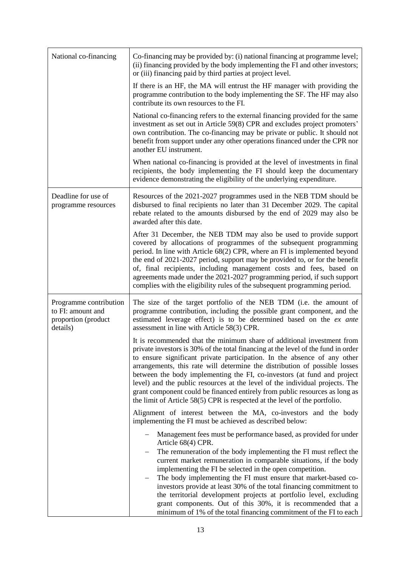| National co-financing                                                          | Co-financing may be provided by: (i) national financing at programme level;<br>(ii) financing provided by the body implementing the FI and other investors;<br>or (iii) financing paid by third parties at project level.                                                                                                                                                                                                                                                                                                                                                                                                                       |
|--------------------------------------------------------------------------------|-------------------------------------------------------------------------------------------------------------------------------------------------------------------------------------------------------------------------------------------------------------------------------------------------------------------------------------------------------------------------------------------------------------------------------------------------------------------------------------------------------------------------------------------------------------------------------------------------------------------------------------------------|
|                                                                                | If there is an HF, the MA will entrust the HF manager with providing the<br>programme contribution to the body implementing the SF. The HF may also<br>contribute its own resources to the FI.                                                                                                                                                                                                                                                                                                                                                                                                                                                  |
|                                                                                | National co-financing refers to the external financing provided for the same<br>investment as set out in Article 59(8) CPR and excludes project promoters'<br>own contribution. The co-financing may be private or public. It should not<br>benefit from support under any other operations financed under the CPR nor<br>another EU instrument.                                                                                                                                                                                                                                                                                                |
|                                                                                | When national co-financing is provided at the level of investments in final<br>recipients, the body implementing the FI should keep the documentary<br>evidence demonstrating the eligibility of the underlying expenditure.                                                                                                                                                                                                                                                                                                                                                                                                                    |
| Deadline for use of<br>programme resources                                     | Resources of the 2021-2027 programmes used in the NEB TDM should be<br>disbursed to final recipients no later than 31 December 2029. The capital<br>rebate related to the amounts disbursed by the end of 2029 may also be<br>awarded after this date.                                                                                                                                                                                                                                                                                                                                                                                          |
|                                                                                | After 31 December, the NEB TDM may also be used to provide support<br>covered by allocations of programmes of the subsequent programming<br>period. In line with Article 68(2) CPR, where an FI is implemented beyond<br>the end of 2021-2027 period, support may be provided to, or for the benefit<br>of, final recipients, including management costs and fees, based on<br>agreements made under the 2021-2027 programming period, if such support<br>complies with the eligibility rules of the subsequent programming period.                                                                                                             |
| Programme contribution<br>to FI: amount and<br>proportion (product<br>details) | The size of the target portfolio of the NEB TDM (i.e. the amount of<br>programme contribution, including the possible grant component, and the<br>estimated leverage effect) is to be determined based on the ex ante<br>assessment in line with Article 58(3) CPR.                                                                                                                                                                                                                                                                                                                                                                             |
|                                                                                | It is recommended that the minimum share of additional investment from<br>private investors is 30% of the total financing at the level of the fund in order<br>to ensure significant private participation. In the absence of any other<br>arrangements, this rate will determine the distribution of possible losses<br>between the body implementing the FI, co-investors (at fund and project<br>level) and the public resources at the level of the individual projects. The<br>grant component could be financed entirely from public resources as long as<br>the limit of Article 58(5) CPR is respected at the level of the portfolio.   |
|                                                                                | Alignment of interest between the MA, co-investors and the body<br>implementing the FI must be achieved as described below:                                                                                                                                                                                                                                                                                                                                                                                                                                                                                                                     |
|                                                                                | Management fees must be performance based, as provided for under<br>Article 68(4) CPR.<br>The remuneration of the body implementing the FI must reflect the<br>current market remuneration in comparable situations, if the body<br>implementing the FI be selected in the open competition.<br>The body implementing the FI must ensure that market-based co-<br>investors provide at least 30% of the total financing commitment to<br>the territorial development projects at portfolio level, excluding<br>grant components. Out of this 30%, it is recommended that a<br>minimum of 1% of the total financing commitment of the FI to each |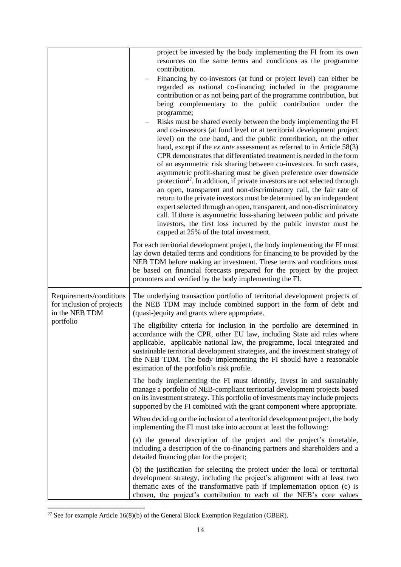|                                                                        | project be invested by the body implementing the FI from its own<br>resources on the same terms and conditions as the programme<br>contribution.<br>Financing by co-investors (at fund or project level) can either be<br>regarded as national co-financing included in the programme<br>contribution or as not being part of the programme contribution, but<br>being complementary to the public contribution under the<br>programme;<br>Risks must be shared evenly between the body implementing the FI<br>and co-investors (at fund level or at territorial development project<br>level) on the one hand, and the public contribution, on the other<br>hand, except if the $ex$ ante assessment as referred to in Article 58(3)<br>CPR demonstrates that differentiated treatment is needed in the form<br>of an asymmetric risk sharing between co-investors. In such cases,<br>asymmetric profit-sharing must be given preference over downside<br>protection <sup>27</sup> . In addition, if private investors are not selected through<br>an open, transparent and non-discriminatory call, the fair rate of<br>return to the private investors must be determined by an independent<br>expert selected through an open, transparent, and non-discriminatory<br>call. If there is asymmetric loss-sharing between public and private<br>investors, the first loss incurred by the public investor must be<br>capped at 25% of the total investment.<br>For each territorial development project, the body implementing the FI must |
|------------------------------------------------------------------------|----------------------------------------------------------------------------------------------------------------------------------------------------------------------------------------------------------------------------------------------------------------------------------------------------------------------------------------------------------------------------------------------------------------------------------------------------------------------------------------------------------------------------------------------------------------------------------------------------------------------------------------------------------------------------------------------------------------------------------------------------------------------------------------------------------------------------------------------------------------------------------------------------------------------------------------------------------------------------------------------------------------------------------------------------------------------------------------------------------------------------------------------------------------------------------------------------------------------------------------------------------------------------------------------------------------------------------------------------------------------------------------------------------------------------------------------------------------------------------------------------------------------------------------------|
|                                                                        | lay down detailed terms and conditions for financing to be provided by the<br>NEB TDM before making an investment. These terms and conditions must<br>be based on financial forecasts prepared for the project by the project<br>promoters and verified by the body implementing the FI.                                                                                                                                                                                                                                                                                                                                                                                                                                                                                                                                                                                                                                                                                                                                                                                                                                                                                                                                                                                                                                                                                                                                                                                                                                                     |
| Requirements/conditions<br>for inclusion of projects<br>in the NEB TDM | The underlying transaction portfolio of territorial development projects of<br>the NEB TDM may include combined support in the form of debt and<br>(quasi-)equity and grants where appropriate.                                                                                                                                                                                                                                                                                                                                                                                                                                                                                                                                                                                                                                                                                                                                                                                                                                                                                                                                                                                                                                                                                                                                                                                                                                                                                                                                              |
| portfolio                                                              | The eligibility criteria for inclusion in the portfolio are determined in<br>accordance with the CPR, other EU law, including State aid rules where<br>applicable, applicable national law, the programme, local integrated and<br>sustainable territorial development strategies, and the investment strategy of<br>the NEB TDM. The body implementing the FI should have a reasonable<br>estimation of the portfolio's risk profile.                                                                                                                                                                                                                                                                                                                                                                                                                                                                                                                                                                                                                                                                                                                                                                                                                                                                                                                                                                                                                                                                                                       |
|                                                                        | The body implementing the FI must identify, invest in and sustainably<br>manage a portfolio of NEB-compliant territorial development projects based<br>on its investment strategy. This portfolio of investments may include projects<br>supported by the FI combined with the grant component where appropriate.                                                                                                                                                                                                                                                                                                                                                                                                                                                                                                                                                                                                                                                                                                                                                                                                                                                                                                                                                                                                                                                                                                                                                                                                                            |
|                                                                        | When deciding on the inclusion of a territorial development project, the body<br>implementing the FI must take into account at least the following:                                                                                                                                                                                                                                                                                                                                                                                                                                                                                                                                                                                                                                                                                                                                                                                                                                                                                                                                                                                                                                                                                                                                                                                                                                                                                                                                                                                          |
|                                                                        | (a) the general description of the project and the project's timetable,<br>including a description of the co-financing partners and shareholders and a<br>detailed financing plan for the project;                                                                                                                                                                                                                                                                                                                                                                                                                                                                                                                                                                                                                                                                                                                                                                                                                                                                                                                                                                                                                                                                                                                                                                                                                                                                                                                                           |
|                                                                        | (b) the justification for selecting the project under the local or territorial<br>development strategy, including the project's alignment with at least two<br>thematic axes of the transformative path if implementation option (c) is<br>chosen, the project's contribution to each of the NEB's core values                                                                                                                                                                                                                                                                                                                                                                                                                                                                                                                                                                                                                                                                                                                                                                                                                                                                                                                                                                                                                                                                                                                                                                                                                               |

<sup>&</sup>lt;sup>27</sup> See for example Article 16(8)(b) of the General Block Exemption Regulation (GBER).

1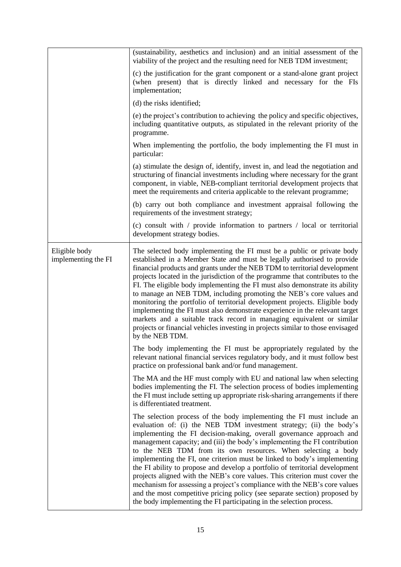|                                      | (sustainability, aesthetics and inclusion) and an initial assessment of the<br>viability of the project and the resulting need for NEB TDM investment;                                                                                                                                                                                                                                                                                                                                                                                                                                                                                                                                                                                                                                                                                          |
|--------------------------------------|-------------------------------------------------------------------------------------------------------------------------------------------------------------------------------------------------------------------------------------------------------------------------------------------------------------------------------------------------------------------------------------------------------------------------------------------------------------------------------------------------------------------------------------------------------------------------------------------------------------------------------------------------------------------------------------------------------------------------------------------------------------------------------------------------------------------------------------------------|
|                                      | (c) the justification for the grant component or a stand-alone grant project<br>(when present) that is directly linked and necessary for the FIs<br>implementation;                                                                                                                                                                                                                                                                                                                                                                                                                                                                                                                                                                                                                                                                             |
|                                      | (d) the risks identified;                                                                                                                                                                                                                                                                                                                                                                                                                                                                                                                                                                                                                                                                                                                                                                                                                       |
|                                      | (e) the project's contribution to achieving the policy and specific objectives,<br>including quantitative outputs, as stipulated in the relevant priority of the<br>programme.                                                                                                                                                                                                                                                                                                                                                                                                                                                                                                                                                                                                                                                                  |
|                                      | When implementing the portfolio, the body implementing the FI must in<br>particular:                                                                                                                                                                                                                                                                                                                                                                                                                                                                                                                                                                                                                                                                                                                                                            |
|                                      | (a) stimulate the design of, identify, invest in, and lead the negotiation and<br>structuring of financial investments including where necessary for the grant<br>component, in viable, NEB-compliant territorial development projects that<br>meet the requirements and criteria applicable to the relevant programme;                                                                                                                                                                                                                                                                                                                                                                                                                                                                                                                         |
|                                      | (b) carry out both compliance and investment appraisal following the<br>requirements of the investment strategy;                                                                                                                                                                                                                                                                                                                                                                                                                                                                                                                                                                                                                                                                                                                                |
|                                      | (c) consult with $\prime$ provide information to partners $\prime$ local or territorial<br>development strategy bodies.                                                                                                                                                                                                                                                                                                                                                                                                                                                                                                                                                                                                                                                                                                                         |
| Eligible body<br>implementing the FI | The selected body implementing the FI must be a public or private body<br>established in a Member State and must be legally authorised to provide<br>financial products and grants under the NEB TDM to territorial development<br>projects located in the jurisdiction of the programme that contributes to the<br>FI. The eligible body implementing the FI must also demonstrate its ability<br>to manage an NEB TDM, including promoting the NEB's core values and<br>monitoring the portfolio of territorial development projects. Eligible body<br>implementing the FI must also demonstrate experience in the relevant target<br>markets and a suitable track record in managing equivalent or similar<br>projects or financial vehicles investing in projects similar to those envisaged<br>by the NEB TDM.                             |
|                                      | The body implementing the FI must be appropriately regulated by the<br>relevant national financial services regulatory body, and it must follow best<br>practice on professional bank and/or fund management.                                                                                                                                                                                                                                                                                                                                                                                                                                                                                                                                                                                                                                   |
|                                      | The MA and the HF must comply with EU and national law when selecting<br>bodies implementing the FI. The selection process of bodies implementing<br>the FI must include setting up appropriate risk-sharing arrangements if there<br>is differentiated treatment.                                                                                                                                                                                                                                                                                                                                                                                                                                                                                                                                                                              |
|                                      | The selection process of the body implementing the FI must include an<br>evaluation of: (i) the NEB TDM investment strategy; (ii) the body's<br>implementing the FI decision-making, overall governance approach and<br>management capacity; and (iii) the body's implementing the FI contribution<br>to the NEB TDM from its own resources. When selecting a body<br>implementing the FI, one criterion must be linked to body's implementing<br>the FI ability to propose and develop a portfolio of territorial development<br>projects aligned with the NEB's core values. This criterion must cover the<br>mechanism for assessing a project's compliance with the NEB's core values<br>and the most competitive pricing policy (see separate section) proposed by<br>the body implementing the FI participating in the selection process. |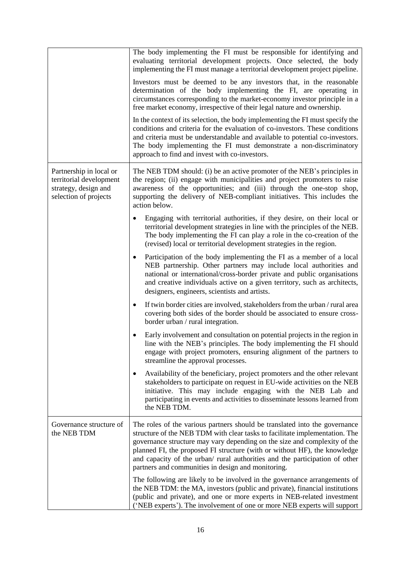|                                                                                                     | The body implementing the FI must be responsible for identifying and<br>evaluating territorial development projects. Once selected, the body<br>implementing the FI must manage a territorial development project pipeline.                                                                                                                                                                                                                              |
|-----------------------------------------------------------------------------------------------------|----------------------------------------------------------------------------------------------------------------------------------------------------------------------------------------------------------------------------------------------------------------------------------------------------------------------------------------------------------------------------------------------------------------------------------------------------------|
|                                                                                                     | Investors must be deemed to be any investors that, in the reasonable<br>determination of the body implementing the FI, are operating in<br>circumstances corresponding to the market-economy investor principle in a<br>free market economy, irrespective of their legal nature and ownership.                                                                                                                                                           |
|                                                                                                     | In the context of its selection, the body implementing the FI must specify the<br>conditions and criteria for the evaluation of co-investors. These conditions<br>and criteria must be understandable and available to potential co-investors.<br>The body implementing the FI must demonstrate a non-discriminatory<br>approach to find and invest with co-investors.                                                                                   |
| Partnership in local or<br>territorial development<br>strategy, design and<br>selection of projects | The NEB TDM should: (i) be an active promoter of the NEB's principles in<br>the region; (ii) engage with municipalities and project promoters to raise<br>awareness of the opportunities; and (iii) through the one-stop shop,<br>supporting the delivery of NEB-compliant initiatives. This includes the<br>action below.                                                                                                                               |
|                                                                                                     | Engaging with territorial authorities, if they desire, on their local or<br>$\bullet$<br>territorial development strategies in line with the principles of the NEB.<br>The body implementing the FI can play a role in the co-creation of the<br>(revised) local or territorial development strategies in the region.                                                                                                                                    |
|                                                                                                     | Participation of the body implementing the FI as a member of a local<br>٠<br>NEB partnership. Other partners may include local authorities and<br>national or international/cross-border private and public organisations<br>and creative individuals active on a given territory, such as architects,<br>designers, engineers, scientists and artists.                                                                                                  |
|                                                                                                     | If twin border cities are involved, stakeholders from the urban / rural area<br>٠<br>covering both sides of the border should be associated to ensure cross-<br>border urban / rural integration.                                                                                                                                                                                                                                                        |
|                                                                                                     | Early involvement and consultation on potential projects in the region in<br>$\bullet$<br>line with the NEB's principles. The body implementing the FI should<br>engage with project promoters, ensuring alignment of the partners to<br>streamline the approval processes.                                                                                                                                                                              |
|                                                                                                     | Availability of the beneficiary, project promoters and the other relevant<br>٠<br>stakeholders to participate on request in EU-wide activities on the NEB<br>initiative. This may include engaging with the NEB Lab and<br>participating in events and activities to disseminate lessons learned from<br>the NEB TDM.                                                                                                                                    |
| Governance structure of<br>the NEB TDM                                                              | The roles of the various partners should be translated into the governance<br>structure of the NEB TDM with clear tasks to facilitate implementation. The<br>governance structure may vary depending on the size and complexity of the<br>planned FI, the proposed FI structure (with or without HF), the knowledge<br>and capacity of the urban/ rural authorities and the participation of other<br>partners and communities in design and monitoring. |
|                                                                                                     | The following are likely to be involved in the governance arrangements of<br>the NEB TDM: the MA, investors (public and private), financial institutions<br>(public and private), and one or more experts in NEB-related investment<br>('NEB experts'). The involvement of one or more NEB experts will support                                                                                                                                          |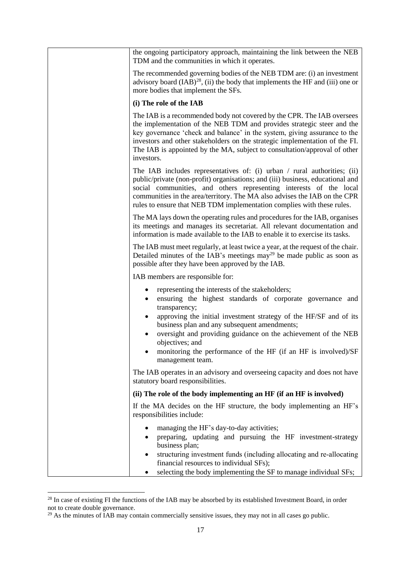| the ongoing participatory approach, maintaining the link between the NEB<br>TDM and the communities in which it operates.                                                                                                                                                                                                                                                                                                           |
|-------------------------------------------------------------------------------------------------------------------------------------------------------------------------------------------------------------------------------------------------------------------------------------------------------------------------------------------------------------------------------------------------------------------------------------|
| The recommended governing bodies of the NEB TDM are: (i) an investment<br>advisory board $( IAB)^{28}$ , (ii) the body that implements the HF and (iii) one or<br>more bodies that implement the SFs.                                                                                                                                                                                                                               |
| (i) The role of the IAB                                                                                                                                                                                                                                                                                                                                                                                                             |
| The IAB is a recommended body not covered by the CPR. The IAB oversees<br>the implementation of the NEB TDM and provides strategic steer and the<br>key governance 'check and balance' in the system, giving assurance to the<br>investors and other stakeholders on the strategic implementation of the FI.<br>The IAB is appointed by the MA, subject to consultation/approval of other<br>investors.                             |
| The IAB includes representatives of: (i) urban $\ell$ rural authorities; (ii)<br>public/private (non-profit) organisations; and (iii) business, educational and<br>social communities, and others representing interests of the local<br>communities in the area/territory. The MA also advises the IAB on the CPR<br>rules to ensure that NEB TDM implementation complies with these rules.                                        |
| The MA lays down the operating rules and procedures for the IAB, organises<br>its meetings and manages its secretariat. All relevant documentation and<br>information is made available to the IAB to enable it to exercise its tasks.                                                                                                                                                                                              |
| The IAB must meet regularly, at least twice a year, at the request of the chair.<br>Detailed minutes of the IAB's meetings $\text{may}^{29}$ be made public as soon as<br>possible after they have been approved by the IAB.                                                                                                                                                                                                        |
| IAB members are responsible for:                                                                                                                                                                                                                                                                                                                                                                                                    |
| representing the interests of the stakeholders;<br>٠<br>ensuring the highest standards of corporate governance and<br>transparency;<br>approving the initial investment strategy of the HF/SF and of its<br>business plan and any subsequent amendments;<br>oversight and providing guidance on the achievement of the NEB<br>objectives; and<br>monitoring the performance of the HF (if an HF is involved)/SF<br>management team. |
| The IAB operates in an advisory and overseeing capacity and does not have                                                                                                                                                                                                                                                                                                                                                           |
| statutory board responsibilities.                                                                                                                                                                                                                                                                                                                                                                                                   |
| (ii) The role of the body implementing an HF (if an HF is involved)                                                                                                                                                                                                                                                                                                                                                                 |
| If the MA decides on the HF structure, the body implementing an HF's<br>responsibilities include:                                                                                                                                                                                                                                                                                                                                   |
| managing the HF's day-to-day activities;<br>preparing, updating and pursuing the HF investment-strategy<br>business plan;<br>structuring investment funds (including allocating and re-allocating<br>٠<br>financial resources to individual SFs);<br>selecting the body implementing the SF to manage individual SFs;                                                                                                               |

 $^{28}$  In case of existing FI the functions of the IAB may be absorbed by its established Investment Board, in order not to create double governance.

 $^{29}$  As the minutes of IAB may contain commercially sensitive issues, they may not in all cases go public.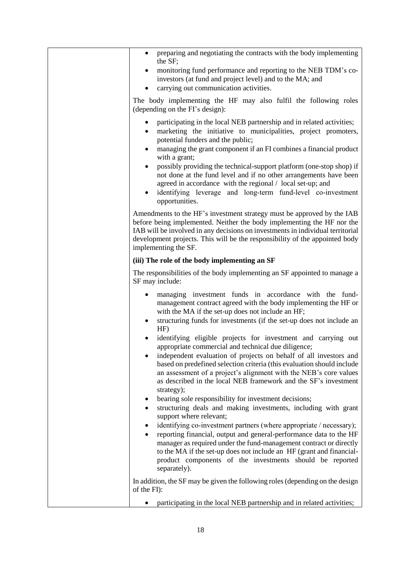| preparing and negotiating the contracts with the body implementing<br>$\bullet$<br>the SF;                                                                                                                                                                                                                                                                               |
|--------------------------------------------------------------------------------------------------------------------------------------------------------------------------------------------------------------------------------------------------------------------------------------------------------------------------------------------------------------------------|
| monitoring fund performance and reporting to the NEB TDM's co-<br>investors (at fund and project level) and to the MA; and<br>carrying out communication activities.                                                                                                                                                                                                     |
| The body implementing the HF may also fulfil the following roles<br>(depending on the FI's design):                                                                                                                                                                                                                                                                      |
| participating in the local NEB partnership and in related activities;<br>$\bullet$                                                                                                                                                                                                                                                                                       |
| marketing the initiative to municipalities, project promoters,<br>potential funders and the public;                                                                                                                                                                                                                                                                      |
| managing the grant component if an FI combines a financial product<br>$\bullet$<br>with a grant;                                                                                                                                                                                                                                                                         |
| possibly providing the technical-support platform (one-stop shop) if<br>$\bullet$<br>not done at the fund level and if no other arrangements have been<br>agreed in accordance with the regional / local set-up; and<br>identifying leverage and long-term fund-level co-investment<br>$\bullet$<br>opportunities.                                                       |
| Amendments to the HF's investment strategy must be approved by the IAB<br>before being implemented. Neither the body implementing the HF nor the<br>IAB will be involved in any decisions on investments in individual territorial<br>development projects. This will be the responsibility of the appointed body<br>implementing the SF.                                |
| (iii) The role of the body implementing an SF                                                                                                                                                                                                                                                                                                                            |
| The responsibilities of the body implementing an SF appointed to manage a<br>SF may include:                                                                                                                                                                                                                                                                             |
| managing investment funds in accordance with the fund-<br>$\bullet$<br>management contract agreed with the body implementing the HF or<br>with the MA if the set-up does not include an HF;<br>structuring funds for investments (if the set-up does not include an<br>$HF$ )                                                                                            |
| identifying eligible projects for investment and carrying out<br>appropriate commercial and technical due diligence;                                                                                                                                                                                                                                                     |
| independent evaluation of projects on behalf of all investors and<br>based on predefined selection criteria (this evaluation should include<br>an assessment of a project's alignment with the NEB's core values<br>as described in the local NEB framework and the SF's investment<br>strategy);<br>bearing sole responsibility for investment decisions;               |
| structuring deals and making investments, including with grant<br>٠<br>support where relevant;                                                                                                                                                                                                                                                                           |
| identifying co-investment partners (where appropriate / necessary);<br>٠<br>reporting financial, output and general-performance data to the HF<br>manager as required under the fund-management contract or directly<br>to the MA if the set-up does not include an HF (grant and financial-<br>product components of the investments should be reported<br>separately). |
| In addition, the SF may be given the following roles (depending on the design<br>of the FI):                                                                                                                                                                                                                                                                             |
| participating in the local NEB partnership and in related activities;                                                                                                                                                                                                                                                                                                    |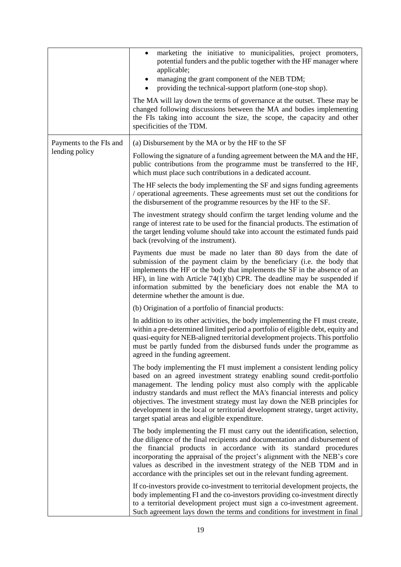|                         | marketing the initiative to municipalities, project promoters,<br>$\bullet$<br>potential funders and the public together with the HF manager where<br>applicable;<br>managing the grant component of the NEB TDM;<br>providing the technical-support platform (one-stop shop).<br>The MA will lay down the terms of governance at the outset. These may be<br>changed following discussions between the MA and bodies implementing<br>the FIs taking into account the size, the scope, the capacity and other<br>specificities of the TDM. |
|-------------------------|--------------------------------------------------------------------------------------------------------------------------------------------------------------------------------------------------------------------------------------------------------------------------------------------------------------------------------------------------------------------------------------------------------------------------------------------------------------------------------------------------------------------------------------------|
| Payments to the FIs and | (a) Disbursement by the MA or by the HF to the SF                                                                                                                                                                                                                                                                                                                                                                                                                                                                                          |
| lending policy          | Following the signature of a funding agreement between the MA and the HF,<br>public contributions from the programme must be transferred to the HF,<br>which must place such contributions in a dedicated account.                                                                                                                                                                                                                                                                                                                         |
|                         | The HF selects the body implementing the SF and signs funding agreements<br>/ operational agreements. These agreements must set out the conditions for<br>the disbursement of the programme resources by the HF to the SF.                                                                                                                                                                                                                                                                                                                 |
|                         | The investment strategy should confirm the target lending volume and the<br>range of interest rate to be used for the financial products. The estimation of<br>the target lending volume should take into account the estimated funds paid<br>back (revolving of the instrument).                                                                                                                                                                                                                                                          |
|                         | Payments due must be made no later than 80 days from the date of<br>submission of the payment claim by the beneficiary (i.e. the body that<br>implements the HF or the body that implements the SF in the absence of an<br>HF), in line with Article $74(1)(b)$ CPR. The deadline may be suspended if<br>information submitted by the beneficiary does not enable the MA to<br>determine whether the amount is due.                                                                                                                        |
|                         | (b) Origination of a portfolio of financial products:                                                                                                                                                                                                                                                                                                                                                                                                                                                                                      |
|                         | In addition to its other activities, the body implementing the FI must create,<br>within a pre-determined limited period a portfolio of eligible debt, equity and<br>quasi-equity for NEB-aligned territorial development projects. This portfolio<br>must be partly funded from the disbursed funds under the programme as<br>agreed in the funding agreement.                                                                                                                                                                            |
|                         | The body implementing the FI must implement a consistent lending policy<br>based on an agreed investment strategy enabling sound credit-portfolio<br>management. The lending policy must also comply with the applicable<br>industry standards and must reflect the MA's financial interests and policy<br>objectives. The investment strategy must lay down the NEB principles for<br>development in the local or territorial development strategy, target activity,<br>target spatial areas and eligible expenditure.                    |
|                         | The body implementing the FI must carry out the identification, selection,<br>due diligence of the final recipients and documentation and disbursement of<br>the financial products in accordance with its standard procedures<br>incorporating the appraisal of the project's alignment with the NEB's core<br>values as described in the investment strategy of the NEB TDM and in<br>accordance with the principles set out in the relevant funding agreement.                                                                          |
|                         | If co-investors provide co-investment to territorial development projects, the<br>body implementing FI and the co-investors providing co-investment directly<br>to a territorial development project must sign a co-investment agreement.<br>Such agreement lays down the terms and conditions for investment in final                                                                                                                                                                                                                     |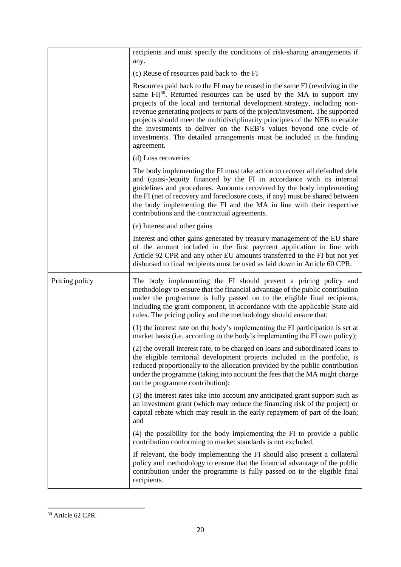|                | recipients and must specify the conditions of risk-sharing arrangements if<br>any.                                                                                                                                                                                                                                                                                                                                                                                                                                                                                           |
|----------------|------------------------------------------------------------------------------------------------------------------------------------------------------------------------------------------------------------------------------------------------------------------------------------------------------------------------------------------------------------------------------------------------------------------------------------------------------------------------------------------------------------------------------------------------------------------------------|
|                | (c) Reuse of resources paid back to the FI                                                                                                                                                                                                                                                                                                                                                                                                                                                                                                                                   |
|                | Resources paid back to the FI may be reused in the same FI (revolving in the<br>same $\text{FI}^{30}$ . Returned resources can be used by the MA to support any<br>projects of the local and territorial development strategy, including non-<br>revenue generating projects or parts of the project/investment. The supported<br>projects should meet the multidisciplinarity principles of the NEB to enable<br>the investments to deliver on the NEB's values beyond one cycle of<br>investments. The detailed arrangements must be included in the funding<br>agreement. |
|                | (d) Loss recoveries                                                                                                                                                                                                                                                                                                                                                                                                                                                                                                                                                          |
|                | The body implementing the FI must take action to recover all defaulted debt<br>and (quasi-)equity financed by the FI in accordance with its internal<br>guidelines and procedures. Amounts recovered by the body implementing<br>the FI (net of recovery and foreclosure costs, if any) must be shared between<br>the body implementing the FI and the MA in line with their respective<br>contributions and the contractual agreements.                                                                                                                                     |
|                | (e) Interest and other gains                                                                                                                                                                                                                                                                                                                                                                                                                                                                                                                                                 |
|                | Interest and other gains generated by treasury management of the EU share<br>of the amount included in the first payment application in line with<br>Article 92 CPR and any other EU amounts transferred to the FI but not yet<br>disbursed to final recipients must be used as laid down in Article 60 CPR.                                                                                                                                                                                                                                                                 |
| Pricing policy | The body implementing the FI should present a pricing policy and<br>methodology to ensure that the financial advantage of the public contribution<br>under the programme is fully passed on to the eligible final recipients,<br>including the grant component, in accordance with the applicable State aid<br>rules. The pricing policy and the methodology should ensure that:                                                                                                                                                                                             |
|                | (1) the interest rate on the body's implementing the FI participation is set at<br>market basis (i.e. according to the body's implementing the FI own policy);                                                                                                                                                                                                                                                                                                                                                                                                               |
|                | (2) the overall interest rate, to be charged on loans and subordinated loans to<br>the eligible territorial development projects included in the portfolio, is<br>reduced proportionally to the allocation provided by the public contribution<br>under the programme (taking into account the fees that the MA might charge<br>on the programme contribution);                                                                                                                                                                                                              |
|                | (3) the interest rates take into account any anticipated grant support such as<br>an investment grant (which may reduce the financing risk of the project) or<br>capital rebate which may result in the early repayment of part of the loan;<br>and                                                                                                                                                                                                                                                                                                                          |
|                | (4) the possibility for the body implementing the FI to provide a public<br>contribution conforming to market standards is not excluded.                                                                                                                                                                                                                                                                                                                                                                                                                                     |
|                | If relevant, the body implementing the FI should also present a collateral<br>policy and methodology to ensure that the financial advantage of the public<br>contribution under the programme is fully passed on to the eligible final<br>recipients.                                                                                                                                                                                                                                                                                                                        |

<sup>1</sup> <sup>30</sup> Article 62 CPR.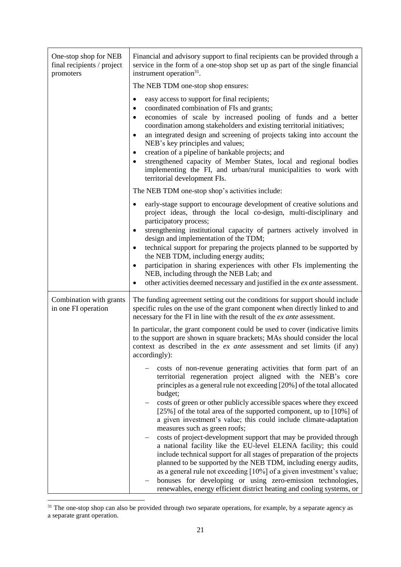| One-stop shop for NEB<br>final recipients / project<br>promoters | Financial and advisory support to final recipients can be provided through a<br>service in the form of a one-stop shop set up as part of the single financial<br>instrument operation <sup>31</sup> .                                                                                                                                                                                                                                                                                                                                                                                                                                                                                                                                                                                                                                                                                                                                                                             |
|------------------------------------------------------------------|-----------------------------------------------------------------------------------------------------------------------------------------------------------------------------------------------------------------------------------------------------------------------------------------------------------------------------------------------------------------------------------------------------------------------------------------------------------------------------------------------------------------------------------------------------------------------------------------------------------------------------------------------------------------------------------------------------------------------------------------------------------------------------------------------------------------------------------------------------------------------------------------------------------------------------------------------------------------------------------|
|                                                                  | The NEB TDM one-stop shop ensures:                                                                                                                                                                                                                                                                                                                                                                                                                                                                                                                                                                                                                                                                                                                                                                                                                                                                                                                                                |
|                                                                  | easy access to support for final recipients;<br>$\bullet$<br>coordinated combination of FIs and grants;<br>economies of scale by increased pooling of funds and a better<br>coordination among stakeholders and existing territorial initiatives;<br>an integrated design and screening of projects taking into account the<br>$\bullet$<br>NEB's key principles and values;<br>creation of a pipeline of bankable projects; and<br>$\bullet$<br>strengthened capacity of Member States, local and regional bodies<br>implementing the FI, and urban/rural municipalities to work with<br>territorial development FIs.                                                                                                                                                                                                                                                                                                                                                            |
|                                                                  | The NEB TDM one-stop shop's activities include:                                                                                                                                                                                                                                                                                                                                                                                                                                                                                                                                                                                                                                                                                                                                                                                                                                                                                                                                   |
|                                                                  | early-stage support to encourage development of creative solutions and<br>project ideas, through the local co-design, multi-disciplinary and<br>participatory process;<br>strengthening institutional capacity of partners actively involved in<br>design and implementation of the TDM;<br>technical support for preparing the projects planned to be supported by<br>the NEB TDM, including energy audits;<br>participation in sharing experiences with other FIs implementing the<br>NEB, including through the NEB Lab; and<br>other activities deemed necessary and justified in the ex ante assessment.                                                                                                                                                                                                                                                                                                                                                                     |
| Combination with grants<br>in one FI operation                   | The funding agreement setting out the conditions for support should include<br>specific rules on the use of the grant component when directly linked to and<br>necessary for the FI in line with the result of the ex ante assessment.                                                                                                                                                                                                                                                                                                                                                                                                                                                                                                                                                                                                                                                                                                                                            |
|                                                                  | In particular, the grant component could be used to cover (indicative limits<br>to the support are shown in square brackets; MAs should consider the local<br>context as described in the ex ante assessment and set limits (if any)<br>accordingly):                                                                                                                                                                                                                                                                                                                                                                                                                                                                                                                                                                                                                                                                                                                             |
|                                                                  | costs of non-revenue generating activities that form part of an<br>territorial regeneration project aligned with the NEB's core<br>principles as a general rule not exceeding [20%] of the total allocated<br>budget;<br>costs of green or other publicly accessible spaces where they exceed<br>[25%] of the total area of the supported component, up to [10%] of<br>a given investment's value; this could include climate-adaptation<br>measures such as green roofs;<br>costs of project-development support that may be provided through<br>a national facility like the EU-level ELENA facility; this could<br>include technical support for all stages of preparation of the projects<br>planned to be supported by the NEB TDM, including energy audits,<br>as a general rule not exceeding [10%] of a given investment's value;<br>bonuses for developing or using zero-emission technologies,<br>renewables, energy efficient district heating and cooling systems, or |

 $\overline{a}$ <sup>31</sup> The one-stop shop can also be provided through two separate operations, for example, by a separate agency as a separate grant operation.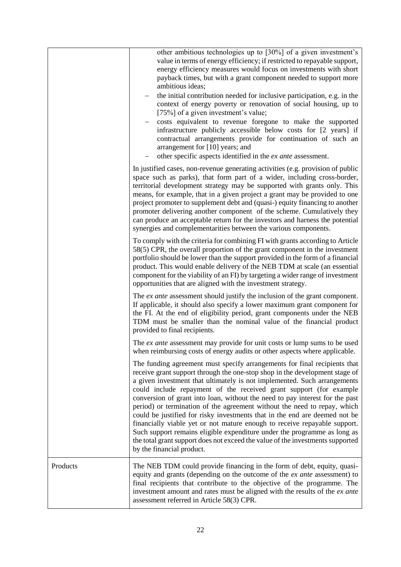|          | other ambitious technologies up to [30%] of a given investment's<br>value in terms of energy efficiency; if restricted to repayable support,<br>energy efficiency measures would focus on investments with short<br>payback times, but with a grant component needed to support more<br>ambitious ideas;<br>the initial contribution needed for inclusive participation, e.g. in the<br>context of energy poverty or renovation of social housing, up to<br>[75%] of a given investment's value;<br>costs equivalent to revenue foregone to make the supported<br>infrastructure publicly accessible below costs for [2 years] if<br>contractual arrangements provide for continuation of such an<br>arrangement for [10] years; and<br>other specific aspects identified in the ex ante assessment.                         |
|----------|------------------------------------------------------------------------------------------------------------------------------------------------------------------------------------------------------------------------------------------------------------------------------------------------------------------------------------------------------------------------------------------------------------------------------------------------------------------------------------------------------------------------------------------------------------------------------------------------------------------------------------------------------------------------------------------------------------------------------------------------------------------------------------------------------------------------------|
|          | In justified cases, non-revenue generating activities (e.g. provision of public<br>space such as parks), that form part of a wider, including cross-border,<br>territorial development strategy may be supported with grants only. This<br>means, for example, that in a given project a grant may be provided to one<br>project promoter to supplement debt and (quasi-) equity financing to another<br>promoter delivering another component of the scheme. Cumulatively they<br>can produce an acceptable return for the investors and harness the potential<br>synergies and complementarities between the various components.                                                                                                                                                                                           |
|          | To comply with the criteria for combining FI with grants according to Article<br>58(5) CPR, the overall proportion of the grant component in the investment<br>portfolio should be lower than the support provided in the form of a financial<br>product. This would enable delivery of the NEB TDM at scale (an essential<br>component for the viability of an FI) by targeting a wider range of investment<br>opportunities that are aligned with the investment strategy.                                                                                                                                                                                                                                                                                                                                                 |
|          | The ex ante assessment should justify the inclusion of the grant component.<br>If applicable, it should also specify a lower maximum grant component for<br>the FI. At the end of eligibility period, grant components under the NEB<br>TDM must be smaller than the nominal value of the financial product<br>provided to final recipients.                                                                                                                                                                                                                                                                                                                                                                                                                                                                                 |
|          | The ex ante assessment may provide for unit costs or lump sums to be used<br>when reimbursing costs of energy audits or other aspects where applicable.                                                                                                                                                                                                                                                                                                                                                                                                                                                                                                                                                                                                                                                                      |
|          | The funding agreement must specify arrangements for final recipients that<br>receive grant support through the one-stop shop in the development stage of<br>a given investment that ultimately is not implemented. Such arrangements<br>could include repayment of the received grant support (for example<br>conversion of grant into loan, without the need to pay interest for the past<br>period) or termination of the agreement without the need to repay, which<br>could be justified for risky investments that in the end are deemed not be<br>financially viable yet or not mature enough to receive repayable support.<br>Such support remains eligible expenditure under the programme as long as<br>the total grant support does not exceed the value of the investments supported<br>by the financial product. |
| Products | The NEB TDM could provide financing in the form of debt, equity, quasi-<br>equity and grants (depending on the outcome of the ex ante assessment) to<br>final recipients that contribute to the objective of the programme. The<br>investment amount and rates must be aligned with the results of the ex ante<br>assessment referred in Article 58(3) CPR.                                                                                                                                                                                                                                                                                                                                                                                                                                                                  |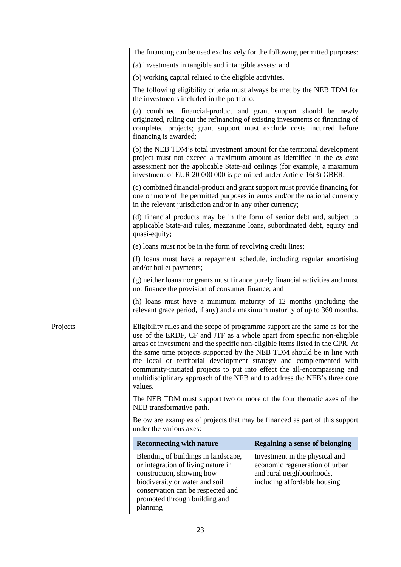|          | The financing can be used exclusively for the following permitted purposes:                                                                                                                                                                                                                                                                                                                                                                                                                                                                                   |                                                                                                                               |
|----------|---------------------------------------------------------------------------------------------------------------------------------------------------------------------------------------------------------------------------------------------------------------------------------------------------------------------------------------------------------------------------------------------------------------------------------------------------------------------------------------------------------------------------------------------------------------|-------------------------------------------------------------------------------------------------------------------------------|
|          | (a) investments in tangible and intangible assets; and                                                                                                                                                                                                                                                                                                                                                                                                                                                                                                        |                                                                                                                               |
|          | (b) working capital related to the eligible activities.                                                                                                                                                                                                                                                                                                                                                                                                                                                                                                       |                                                                                                                               |
|          | The following eligibility criteria must always be met by the NEB TDM for<br>the investments included in the portfolio:                                                                                                                                                                                                                                                                                                                                                                                                                                        |                                                                                                                               |
|          | (a) combined financial-product and grant support should be newly<br>originated, ruling out the refinancing of existing investments or financing of<br>completed projects; grant support must exclude costs incurred before<br>financing is awarded;                                                                                                                                                                                                                                                                                                           |                                                                                                                               |
|          | (b) the NEB TDM's total investment amount for the territorial development<br>project must not exceed a maximum amount as identified in the ex ante<br>assessment nor the applicable State-aid ceilings (for example, a maximum<br>investment of EUR 20 000 000 is permitted under Article 16(3) GBER;                                                                                                                                                                                                                                                         |                                                                                                                               |
|          | (c) combined financial-product and grant support must provide financing for<br>one or more of the permitted purposes in euros and/or the national currency<br>in the relevant jurisdiction and/or in any other currency;                                                                                                                                                                                                                                                                                                                                      |                                                                                                                               |
|          | (d) financial products may be in the form of senior debt and, subject to<br>applicable State-aid rules, mezzanine loans, subordinated debt, equity and<br>quasi-equity;                                                                                                                                                                                                                                                                                                                                                                                       |                                                                                                                               |
|          | (e) loans must not be in the form of revolving credit lines;                                                                                                                                                                                                                                                                                                                                                                                                                                                                                                  |                                                                                                                               |
|          | (f) loans must have a repayment schedule, including regular amortising<br>and/or bullet payments;                                                                                                                                                                                                                                                                                                                                                                                                                                                             |                                                                                                                               |
|          | (g) neither loans nor grants must finance purely financial activities and must<br>not finance the provision of consumer finance; and                                                                                                                                                                                                                                                                                                                                                                                                                          |                                                                                                                               |
|          | (h) loans must have a minimum maturity of 12 months (including the<br>relevant grace period, if any) and a maximum maturity of up to 360 months.                                                                                                                                                                                                                                                                                                                                                                                                              |                                                                                                                               |
| Projects | Eligibility rules and the scope of programme support are the same as for the<br>use of the ERDF, CF and JTF as a whole apart from specific non-eligible<br>areas of investment and the specific non-eligible items listed in the CPR. At<br>the same time projects supported by the NEB TDM should be in line with<br>the local or territorial development strategy and complemented with<br>community-initiated projects to put into effect the all-encompassing and<br>multidisciplinary approach of the NEB and to address the NEB's three core<br>values. |                                                                                                                               |
|          | The NEB TDM must support two or more of the four thematic axes of the<br>NEB transformative path.                                                                                                                                                                                                                                                                                                                                                                                                                                                             |                                                                                                                               |
|          | Below are examples of projects that may be financed as part of this support<br>under the various axes:                                                                                                                                                                                                                                                                                                                                                                                                                                                        |                                                                                                                               |
|          | <b>Reconnecting with nature</b>                                                                                                                                                                                                                                                                                                                                                                                                                                                                                                                               | Regaining a sense of belonging                                                                                                |
|          | Blending of buildings in landscape,<br>or integration of living nature in<br>construction, showing how<br>biodiversity or water and soil<br>conservation can be respected and<br>promoted through building and<br>planning                                                                                                                                                                                                                                                                                                                                    | Investment in the physical and<br>economic regeneration of urban<br>and rural neighbourhoods,<br>including affordable housing |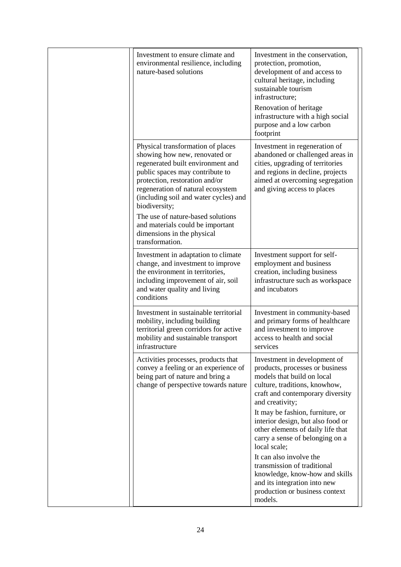| Investment to ensure climate and<br>environmental resilience, including<br>nature-based solutions                                                                                                                                                                                                                                                                                                     | Investment in the conservation,<br>protection, promotion,<br>development of and access to<br>cultural heritage, including<br>sustainable tourism<br>infrastructure;<br>Renovation of heritage<br>infrastructure with a high social<br>purpose and a low carbon<br>footprint                                                                            |
|-------------------------------------------------------------------------------------------------------------------------------------------------------------------------------------------------------------------------------------------------------------------------------------------------------------------------------------------------------------------------------------------------------|--------------------------------------------------------------------------------------------------------------------------------------------------------------------------------------------------------------------------------------------------------------------------------------------------------------------------------------------------------|
| Physical transformation of places<br>showing how new, renovated or<br>regenerated built environment and<br>public spaces may contribute to<br>protection, restoration and/or<br>regeneration of natural ecosystem<br>(including soil and water cycles) and<br>biodiversity;<br>The use of nature-based solutions<br>and materials could be important<br>dimensions in the physical<br>transformation. | Investment in regeneration of<br>abandoned or challenged areas in<br>cities, upgrading of territories<br>and regions in decline, projects<br>aimed at overcoming segregation<br>and giving access to places                                                                                                                                            |
| Investment in adaptation to climate<br>change, and investment to improve<br>the environment in territories,<br>including improvement of air, soil<br>and water quality and living<br>conditions                                                                                                                                                                                                       | Investment support for self-<br>employment and business<br>creation, including business<br>infrastructure such as workspace<br>and incubators                                                                                                                                                                                                          |
| Investment in sustainable territorial<br>mobility, including building<br>territorial green corridors for active<br>mobility and sustainable transport<br>infrastructure                                                                                                                                                                                                                               | Investment in community-based<br>and primary forms of healthcare<br>and investment to improve<br>access to health and social<br>services                                                                                                                                                                                                               |
| Activities processes, products that<br>convey a feeling or an experience of<br>being part of nature and bring a<br>change of perspective towards nature                                                                                                                                                                                                                                               | Investment in development of<br>products, processes or business<br>models that build on local<br>culture, traditions, knowhow,<br>craft and contemporary diversity<br>and creativity;<br>It may be fashion, furniture, or<br>interior design, but also food or<br>other elements of daily life that<br>carry a sense of belonging on a<br>local scale; |
|                                                                                                                                                                                                                                                                                                                                                                                                       | It can also involve the<br>transmission of traditional<br>knowledge, know-how and skills<br>and its integration into new<br>production or business context<br>models.                                                                                                                                                                                  |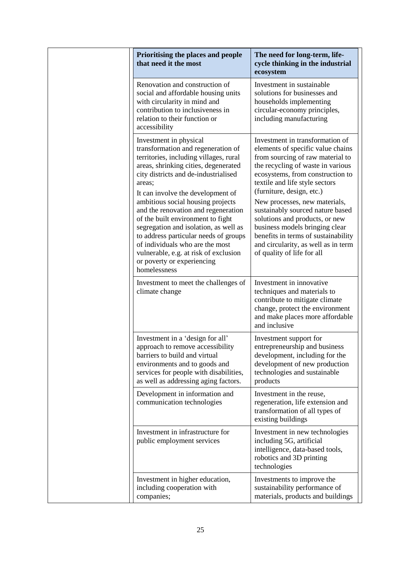| Prioritising the places and people<br>that need it the most                                                                                                                                                                                                                                                                                                                                                                                                                                                                                                        | The need for long-term, life-<br>cycle thinking in the industrial<br>ecosystem                                                                                                                                                                                                                                                                                                                                                                                                                        |
|--------------------------------------------------------------------------------------------------------------------------------------------------------------------------------------------------------------------------------------------------------------------------------------------------------------------------------------------------------------------------------------------------------------------------------------------------------------------------------------------------------------------------------------------------------------------|-------------------------------------------------------------------------------------------------------------------------------------------------------------------------------------------------------------------------------------------------------------------------------------------------------------------------------------------------------------------------------------------------------------------------------------------------------------------------------------------------------|
| Renovation and construction of<br>social and affordable housing units<br>with circularity in mind and<br>contribution to inclusiveness in<br>relation to their function or<br>accessibility                                                                                                                                                                                                                                                                                                                                                                        | Investment in sustainable<br>solutions for businesses and<br>households implementing<br>circular-economy principles,<br>including manufacturing                                                                                                                                                                                                                                                                                                                                                       |
| Investment in physical<br>transformation and regeneration of<br>territories, including villages, rural<br>areas, shrinking cities, degenerated<br>city districts and de-industrialised<br>areas:<br>It can involve the development of<br>ambitious social housing projects<br>and the renovation and regeneration<br>of the built environment to fight<br>segregation and isolation, as well as<br>to address particular needs of groups<br>of individuals who are the most<br>vulnerable, e.g. at risk of exclusion<br>or poverty or experiencing<br>homelessness | Investment in transformation of<br>elements of specific value chains<br>from sourcing of raw material to<br>the recycling of waste in various<br>ecosystems, from construction to<br>textile and life style sectors<br>(furniture, design, etc.)<br>New processes, new materials,<br>sustainably sourced nature based<br>solutions and products, or new<br>business models bringing clear<br>benefits in terms of sustainability<br>and circularity, as well as in term<br>of quality of life for all |
| Investment to meet the challenges of<br>climate change                                                                                                                                                                                                                                                                                                                                                                                                                                                                                                             | Investment in innovative<br>techniques and materials to<br>contribute to mitigate climate<br>change, protect the environment<br>and make places more affordable<br>and inclusive                                                                                                                                                                                                                                                                                                                      |
| Investment in a 'design for all'<br>approach to remove accessibility<br>barriers to build and virtual<br>environments and to goods and<br>services for people with disabilities,<br>as well as addressing aging factors.                                                                                                                                                                                                                                                                                                                                           | Investment support for<br>entrepreneurship and business<br>development, including for the<br>development of new production<br>technologies and sustainable<br>products                                                                                                                                                                                                                                                                                                                                |
| Development in information and<br>communication technologies                                                                                                                                                                                                                                                                                                                                                                                                                                                                                                       | Investment in the reuse,<br>regeneration, life extension and<br>transformation of all types of<br>existing buildings                                                                                                                                                                                                                                                                                                                                                                                  |
| Investment in infrastructure for<br>public employment services                                                                                                                                                                                                                                                                                                                                                                                                                                                                                                     | Investment in new technologies<br>including 5G, artificial<br>intelligence, data-based tools,<br>robotics and 3D printing<br>technologies                                                                                                                                                                                                                                                                                                                                                             |
| Investment in higher education,<br>including cooperation with<br>companies;                                                                                                                                                                                                                                                                                                                                                                                                                                                                                        | Investments to improve the<br>sustainability performance of<br>materials, products and buildings                                                                                                                                                                                                                                                                                                                                                                                                      |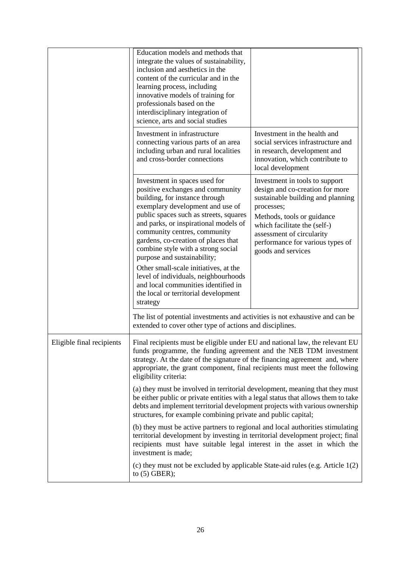|                           | Education models and methods that<br>integrate the values of sustainability,<br>inclusion and aesthetics in the<br>content of the curricular and in the<br>learning process, including<br>innovative models of training for<br>professionals based on the<br>interdisciplinary integration of<br>science, arts and social studies                                                                                                                                                                                                                                                                                                   |                                                                                                                                                                                                                                                                           |
|---------------------------|-------------------------------------------------------------------------------------------------------------------------------------------------------------------------------------------------------------------------------------------------------------------------------------------------------------------------------------------------------------------------------------------------------------------------------------------------------------------------------------------------------------------------------------------------------------------------------------------------------------------------------------|---------------------------------------------------------------------------------------------------------------------------------------------------------------------------------------------------------------------------------------------------------------------------|
|                           | Investment in infrastructure<br>connecting various parts of an area<br>including urban and rural localities<br>and cross-border connections                                                                                                                                                                                                                                                                                                                                                                                                                                                                                         | Investment in the health and<br>social services infrastructure and<br>in research, development and<br>innovation, which contribute to<br>local development                                                                                                                |
|                           | Investment in spaces used for<br>positive exchanges and community<br>building, for instance through<br>exemplary development and use of<br>public spaces such as streets, squares<br>and parks, or inspirational models of<br>community centres, community<br>gardens, co-creation of places that<br>combine style with a strong social<br>purpose and sustainability;<br>Other small-scale initiatives, at the<br>level of individuals, neighbourhoods<br>and local communities identified in<br>the local or territorial development<br>strategy<br>The list of potential investments and activities is not exhaustive and can be | Investment in tools to support<br>design and co-creation for more<br>sustainable building and planning<br>processes;<br>Methods, tools or guidance<br>which facilitate the (self-)<br>assessment of circularity<br>performance for various types of<br>goods and services |
| Eligible final recipients | extended to cover other type of actions and disciplines.<br>Final recipients must be eligible under EU and national law, the relevant EU<br>funds programme, the funding agreement and the NEB TDM investment<br>strategy. At the date of the signature of the financing agreement and, where<br>appropriate, the grant component, final recipients must meet the following<br>eligibility criteria:                                                                                                                                                                                                                                |                                                                                                                                                                                                                                                                           |
|                           | (a) they must be involved in territorial development, meaning that they must<br>be either public or private entities with a legal status that allows them to take<br>debts and implement territorial development projects with various ownership<br>structures, for example combining private and public capital;                                                                                                                                                                                                                                                                                                                   |                                                                                                                                                                                                                                                                           |
|                           | (b) they must be active partners to regional and local authorities stimulating<br>territorial development by investing in territorial development project; final<br>recipients must have suitable legal interest in the asset in which the<br>investment is made;                                                                                                                                                                                                                                                                                                                                                                   |                                                                                                                                                                                                                                                                           |
|                           | (c) they must not be excluded by applicable State-aid rules (e.g. Article 1(2)<br>to $(5)$ GBER);                                                                                                                                                                                                                                                                                                                                                                                                                                                                                                                                   |                                                                                                                                                                                                                                                                           |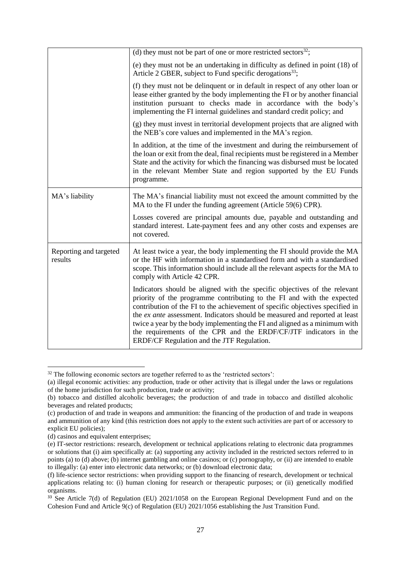|                                   | (d) they must not be part of one or more restricted sectors <sup>32</sup> ;                                                                                                                                                                                                                                                                                                                                                                                                                                          |
|-----------------------------------|----------------------------------------------------------------------------------------------------------------------------------------------------------------------------------------------------------------------------------------------------------------------------------------------------------------------------------------------------------------------------------------------------------------------------------------------------------------------------------------------------------------------|
|                                   |                                                                                                                                                                                                                                                                                                                                                                                                                                                                                                                      |
|                                   | (e) they must not be an undertaking in difficulty as defined in point (18) of<br>Article 2 GBER, subject to Fund specific derogations <sup>33</sup> ;                                                                                                                                                                                                                                                                                                                                                                |
|                                   | (f) they must not be delinquent or in default in respect of any other loan or<br>lease either granted by the body implementing the FI or by another financial<br>institution pursuant to checks made in accordance with the body's<br>implementing the FI internal guidelines and standard credit policy; and                                                                                                                                                                                                        |
|                                   | (g) they must invest in territorial development projects that are aligned with<br>the NEB's core values and implemented in the MA's region.                                                                                                                                                                                                                                                                                                                                                                          |
|                                   | In addition, at the time of the investment and during the reimbursement of<br>the loan or exit from the deal, final recipients must be registered in a Member<br>State and the activity for which the financing was disbursed must be located<br>in the relevant Member State and region supported by the EU Funds<br>programme.                                                                                                                                                                                     |
| MA's liability                    | The MA's financial liability must not exceed the amount committed by the<br>MA to the FI under the funding agreement (Article 59(6) CPR).                                                                                                                                                                                                                                                                                                                                                                            |
|                                   | Losses covered are principal amounts due, payable and outstanding and<br>standard interest. Late-payment fees and any other costs and expenses are<br>not covered.                                                                                                                                                                                                                                                                                                                                                   |
| Reporting and targeted<br>results | At least twice a year, the body implementing the FI should provide the MA<br>or the HF with information in a standardised form and with a standardised<br>scope. This information should include all the relevant aspects for the MA to<br>comply with Article 42 CPR.                                                                                                                                                                                                                                               |
|                                   | Indicators should be aligned with the specific objectives of the relevant<br>priority of the programme contributing to the FI and with the expected<br>contribution of the FI to the achievement of specific objectives specified in<br>the ex ante assessment. Indicators should be measured and reported at least<br>twice a year by the body implementing the FI and aligned as a minimum with<br>the requirements of the CPR and the ERDF/CF/JTF indicators in the<br>ERDF/CF Regulation and the JTF Regulation. |

 $32$  The following economic sectors are together referred to as the 'restricted sectors':

<sup>(</sup>a) illegal economic activities: any production, trade or other activity that is illegal under the laws or regulations of the home jurisdiction for such production, trade or activity;

<sup>(</sup>b) tobacco and distilled alcoholic beverages; the production of and trade in tobacco and distilled alcoholic beverages and related products;

<sup>(</sup>c) production of and trade in weapons and ammunition: the financing of the production of and trade in weapons and ammunition of any kind (this restriction does not apply to the extent such activities are part of or accessory to explicit EU policies);

<sup>(</sup>d) casinos and equivalent enterprises;

<sup>(</sup>e) IT-sector restrictions: research, development or technical applications relating to electronic data programmes or solutions that (i) aim specifically at: (a) supporting any activity included in the restricted sectors referred to in points (a) to (d) above; (b) internet gambling and online casinos; or (c) pornography, or (ii) are intended to enable to illegally: (a) enter into electronic data networks; or (b) download electronic data;

<sup>(</sup>f) life-science sector restrictions: when providing support to the financing of research, development or technical applications relating to: (i) human cloning for research or therapeutic purposes; or (ii) genetically modified organisms.

<sup>&</sup>lt;sup>33</sup> See Article 7(d) of Regulation (EU) 2021/1058 on the European Regional Development Fund and on the Cohesion Fund and Article 9(c) of Regulation (EU) 2021/1056 establishing the Just Transition Fund.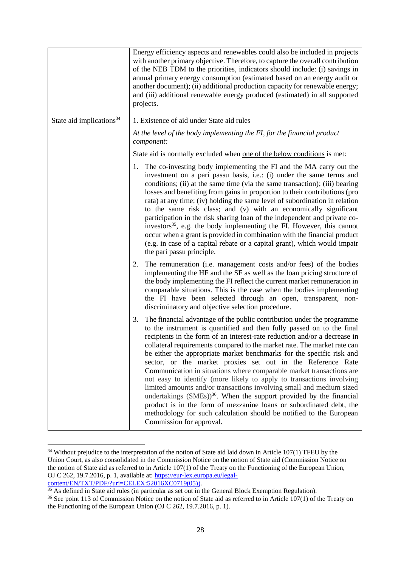|                                      | Energy efficiency aspects and renewables could also be included in projects<br>with another primary objective. Therefore, to capture the overall contribution<br>of the NEB TDM to the priorities, indicators should include: (i) savings in<br>annual primary energy consumption (estimated based on an energy audit or<br>another document); (ii) additional production capacity for renewable energy;<br>and (iii) additional renewable energy produced (estimated) in all supported<br>projects.                                                                                                                                                                                                                                                                                                                                                                                                                                        |
|--------------------------------------|---------------------------------------------------------------------------------------------------------------------------------------------------------------------------------------------------------------------------------------------------------------------------------------------------------------------------------------------------------------------------------------------------------------------------------------------------------------------------------------------------------------------------------------------------------------------------------------------------------------------------------------------------------------------------------------------------------------------------------------------------------------------------------------------------------------------------------------------------------------------------------------------------------------------------------------------|
| State aid implications <sup>34</sup> | 1. Existence of aid under State aid rules                                                                                                                                                                                                                                                                                                                                                                                                                                                                                                                                                                                                                                                                                                                                                                                                                                                                                                   |
|                                      | At the level of the body implementing the FI, for the financial product<br>component:                                                                                                                                                                                                                                                                                                                                                                                                                                                                                                                                                                                                                                                                                                                                                                                                                                                       |
|                                      | State aid is normally excluded when <u>one of the below conditions</u> is met:                                                                                                                                                                                                                                                                                                                                                                                                                                                                                                                                                                                                                                                                                                                                                                                                                                                              |
|                                      | 1. The co-investing body implementing the FI and the MA carry out the<br>investment on a pari passu basis, i.e.: (i) under the same terms and<br>conditions; (ii) at the same time (via the same transaction); (iii) bearing<br>losses and benefiting from gains in proportion to their contributions (pro<br>rata) at any time; (iv) holding the same level of subordination in relation<br>to the same risk class; and (v) with an economically significant<br>participation in the risk sharing loan of the independent and private co-<br>investors <sup>35</sup> , e.g. the body implementing the FI. However, this cannot<br>occur when a grant is provided in combination with the financial product<br>(e.g. in case of a capital rebate or a capital grant), which would impair<br>the pari passu principle.                                                                                                                       |
|                                      | The remuneration (i.e. management costs and/or fees) of the bodies<br>2.<br>implementing the HF and the SF as well as the loan pricing structure of<br>the body implementing the FI reflect the current market remuneration in<br>comparable situations. This is the case when the bodies implementing<br>the FI have been selected through an open, transparent, non-<br>discriminatory and objective selection procedure.                                                                                                                                                                                                                                                                                                                                                                                                                                                                                                                 |
|                                      | The financial advantage of the public contribution under the programme<br>3.<br>to the instrument is quantified and then fully passed on to the final<br>recipients in the form of an interest-rate reduction and/or a decrease in<br>collateral requirements compared to the market rate. The market rate can<br>be either the appropriate market benchmarks for the specific risk and<br>sector, or the market proxies set out in the Reference Rate<br>Communication in situations where comparable market transactions are<br>not easy to identify (more likely to apply to transactions involving<br>limited amounts and/or transactions involving small and medium sized<br>undertakings (SMEs)) <sup>36</sup> . When the support provided by the financial<br>product is in the form of mezzanine loans or subordinated debt, the<br>methodology for such calculation should be notified to the European<br>Commission for approval. |

<sup>&</sup>lt;sup>34</sup> Without prejudice to the interpretation of the notion of State aid laid down in Article 107(1) TFEU by the Union Court, as also consolidated in the Commission Notice on the notion of State aid (Commission Notice on the notion of State aid as referred to in Article 107(1) of the Treaty on the Functioning of the European Union, OJ C 262, 19.7.2016, p. 1, available at: [https://eur-lex.europa.eu/legal](https://eur-lex.europa.eu/legal-content/EN/TXT/PDF/?uri=CELEX:52016XC0719(05)))[content/EN/TXT/PDF/?uri=CELEX:52016XC0719\(05\)\).](https://eur-lex.europa.eu/legal-content/EN/TXT/PDF/?uri=CELEX:52016XC0719(05)))

 $\overline{a}$ 

 $\frac{35}{35}$  As defined in State aid rules (in particular as set out in the General Block Exemption Regulation).

<sup>&</sup>lt;sup>36</sup> See point 113 of Commission Notice on the notion of State aid as referred to in Article  $107(1)$  of the Treaty on the Functioning of the European Union (OJ C 262, 19.7.2016, p. 1).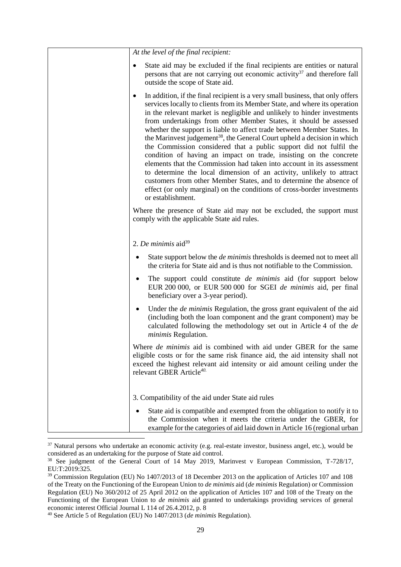| At the level of the final recipient:                                                                                                                                                                                                                                                                                                                                                                                                                                                                                                                                                                                                                                                                                                                                                                                                                                                                                                                    |
|---------------------------------------------------------------------------------------------------------------------------------------------------------------------------------------------------------------------------------------------------------------------------------------------------------------------------------------------------------------------------------------------------------------------------------------------------------------------------------------------------------------------------------------------------------------------------------------------------------------------------------------------------------------------------------------------------------------------------------------------------------------------------------------------------------------------------------------------------------------------------------------------------------------------------------------------------------|
| State aid may be excluded if the final recipients are entities or natural<br>persons that are not carrying out economic activity <sup>37</sup> and therefore fall<br>outside the scope of State aid.                                                                                                                                                                                                                                                                                                                                                                                                                                                                                                                                                                                                                                                                                                                                                    |
| In addition, if the final recipient is a very small business, that only offers<br>٠<br>services locally to clients from its Member State, and where its operation<br>in the relevant market is negligible and unlikely to hinder investments<br>from undertakings from other Member States, it should be assessed<br>whether the support is liable to affect trade between Member States. In<br>the Marinvest judgement <sup>38</sup> , the General Court upheld a decision in which<br>the Commission considered that a public support did not fulfil the<br>condition of having an impact on trade, insisting on the concrete<br>elements that the Commission had taken into account in its assessment<br>to determine the local dimension of an activity, unlikely to attract<br>customers from other Member States, and to determine the absence of<br>effect (or only marginal) on the conditions of cross-border investments<br>or establishment. |
| Where the presence of State aid may not be excluded, the support must<br>comply with the applicable State aid rules.                                                                                                                                                                                                                                                                                                                                                                                                                                                                                                                                                                                                                                                                                                                                                                                                                                    |
| 2. De minimis aid <sup>39</sup>                                                                                                                                                                                                                                                                                                                                                                                                                                                                                                                                                                                                                                                                                                                                                                                                                                                                                                                         |
| State support below the <i>de minimis</i> thresholds is deemed not to meet all<br>٠<br>the criteria for State aid and is thus not notifiable to the Commission.                                                                                                                                                                                                                                                                                                                                                                                                                                                                                                                                                                                                                                                                                                                                                                                         |
| The support could constitute <i>de minimis</i> aid (for support below<br>EUR 200 000, or EUR 500 000 for SGEI de minimis aid, per final<br>beneficiary over a 3-year period).                                                                                                                                                                                                                                                                                                                                                                                                                                                                                                                                                                                                                                                                                                                                                                           |
| Under the <i>de minimis</i> Regulation, the gross grant equivalent of the aid<br>(including both the loan component and the grant component) may be<br>calculated following the methodology set out in Article 4 of the de<br>minimis Regulation.                                                                                                                                                                                                                                                                                                                                                                                                                                                                                                                                                                                                                                                                                                       |
| Where <i>de minimis</i> aid is combined with aid under GBER for the same<br>eligible costs or for the same risk finance aid, the aid intensity shall not<br>exceed the highest relevant aid intensity or aid amount ceiling under the<br>relevant GBER Article <sup>40.</sup>                                                                                                                                                                                                                                                                                                                                                                                                                                                                                                                                                                                                                                                                           |
| 3. Compatibility of the aid under State aid rules                                                                                                                                                                                                                                                                                                                                                                                                                                                                                                                                                                                                                                                                                                                                                                                                                                                                                                       |
| State aid is compatible and exempted from the obligation to notify it to<br>the Commission when it meets the criteria under the GBER, for<br>example for the categories of aid laid down in Article 16 (regional urban                                                                                                                                                                                                                                                                                                                                                                                                                                                                                                                                                                                                                                                                                                                                  |

 $37$  Natural persons who undertake an economic activity (e.g. real-estate investor, business angel, etc.), would be considered as an undertaking for the purpose of State aid control.

<sup>&</sup>lt;sup>38</sup> See judgment of the General Court of 14 May 2019, Marinvest v European Commission, T-728/17, EU:T:2019:325.

<sup>&</sup>lt;sup>39</sup> Commission Regulation (EU) No 1407/2013 of 18 December 2013 on the application of Articles 107 and 108 of the Treaty on the Functioning of the European Union to *de minimis* aid (*de minimis* Regulation) or Commission Regulation (EU) No 360/2012 of 25 April 2012 on the application of Articles 107 and 108 of the Treaty on the Functioning of the European Union to *de minimis* aid granted to undertakings providing services of general economic interest Official Journal L 114 of 26.4.2012, p. 8

<sup>40</sup> See Article 5 of Regulation (EU) No 1407/2013 (*de minimis* Regulation).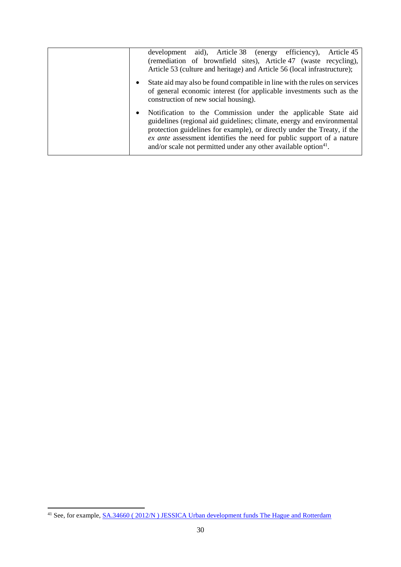| aid), Article 38 (energy efficiency),<br>Article 45<br>development<br>(remediation of brownfield sites), Article 47 (waste recycling),<br>Article 53 (culture and heritage) and Article 56 (local infrastructure);                                                                                                                                                                       |
|------------------------------------------------------------------------------------------------------------------------------------------------------------------------------------------------------------------------------------------------------------------------------------------------------------------------------------------------------------------------------------------|
| State aid may also be found compatible in line with the rules on services<br>of general economic interest (for applicable investments such as the<br>construction of new social housing).                                                                                                                                                                                                |
| Notification to the Commission under the applicable State aid<br>$\bullet$<br>guidelines (regional aid guidelines; climate, energy and environmental<br>protection guidelines for example), or directly under the Treaty, if the<br>ex ante assessment identifies the need for public support of a nature<br>and/or scale not permitted under any other available option <sup>41</sup> . |

1

<sup>&</sup>lt;sup>41</sup> See, for example, <u>SA.34660 (2012/N) JESSICA Urban development funds The Hague and Rotterdam</u>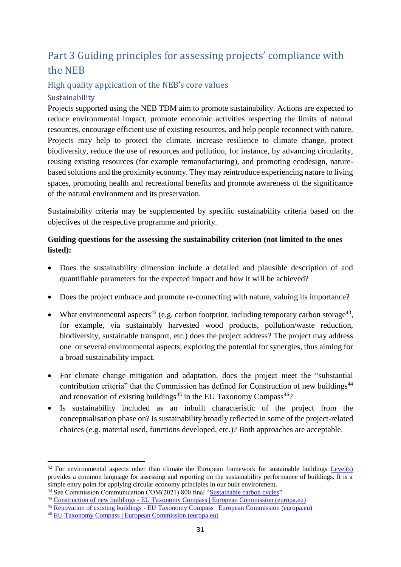# <span id="page-31-0"></span>Part 3 Guiding principles for assessing projects' compliance with the NEB

## <span id="page-31-1"></span>High quality application of the NEB's core values

## <span id="page-31-2"></span>Sustainability

Projects supported using the NEB TDM aim to promote sustainability. Actions are expected to reduce environmental impact, promote economic activities respecting the limits of natural resources, encourage efficient use of existing resources, and help people reconnect with nature. Projects may help to protect the climate, increase resilience to climate change, protect biodiversity, reduce the use of resources and pollution, for instance, by advancing circularity, reusing existing resources (for example remanufacturing), and promoting ecodesign, naturebased solutions and the proximity economy. They may reintroduce experiencing nature to living spaces, promoting health and recreational benefits and promote awareness of the significance of the natural environment and its preservation.

Sustainability criteria may be supplemented by specific sustainability criteria based on the objectives of the respective programme and priority.

## **Guiding questions for the assessing the sustainability criterion (not limited to the ones listed):**

- Does the sustainability dimension include a detailed and plausible description of and quantifiable parameters for the expected impact and how it will be achieved?
- Does the project embrace and promote re-connecting with nature, valuing its importance?
- What environmental aspects<sup>42</sup> (e.g. carbon footprint, including temporary carbon storage<sup>43</sup>, for example, via sustainably harvested wood products, pollution/waste reduction, biodiversity, sustainable transport, etc.) does the project address? The project may address one or several environmental aspects, exploring the potential for synergies, thus aiming for a broad sustainability impact.
- For climate change mitigation and adaptation, does the project meet the "substantial contribution criteria" that the Commission has defined for Construction of new buildings<sup>44</sup> and [renovation of existing buildings](https://ec.europa.eu/sustainable-finance-taxonomy/activities/activity_en.htm?reference=7.2)<sup>45</sup> in the EU Taxonomy Compass<sup>46</sup>?
- Is sustainability included as an inbuilt characteristic of the project from the conceptualisation phase on? Is sustainability broadly reflected in some of the project-related choices (e.g. material used, functions developed, etc.)? Both approaches are acceptable.

<sup>&</sup>lt;sup>42</sup> For environmental aspects other than climate the European framework for sustainable buildings  $Level(s)$ provides a common language for assessing and reporting on the sustainability performance of buildings. It is a simple entry point for applying circular economy principles in our built environment.

<sup>&</sup>lt;sup>43</sup> See Commission Communication COM(2021) 800 final ["Sustainable carbon cycles"](https://ec.europa.eu/clima/eu-action/forests-and-agriculture/sustainable-carbon-cycles_en)

<sup>44</sup> Construction of new buildings - [EU Taxonomy Compass | European Commission \(europa.eu\)](https://ec.europa.eu/sustainable-finance-taxonomy/activities/activity_en.htm?reference=7.1)

<sup>45</sup> Renovation of existing buildings - [EU Taxonomy Compass | European Commission \(europa.eu\)](https://ec.europa.eu/sustainable-finance-taxonomy/activities/activity_en.htm?reference=7.2)

<sup>46</sup> [EU Taxonomy Compass | European Commission \(europa.eu\)](https://ec.europa.eu/sustainable-finance-taxonomy/tool/index_en.htm)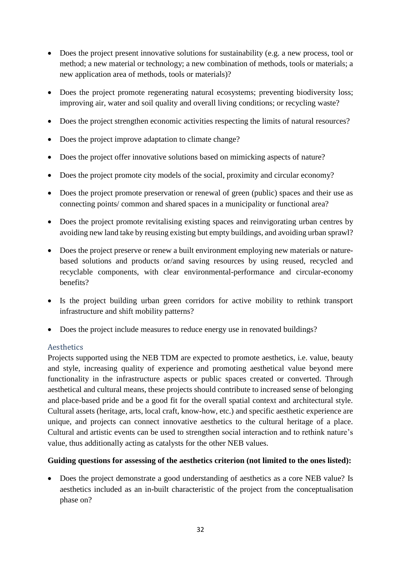- Does the project present innovative solutions for sustainability (e.g. a new process, tool or method; a new material or technology; a new combination of methods, tools or materials; a new application area of methods, tools or materials)?
- Does the project promote regenerating natural ecosystems; preventing biodiversity loss; improving air, water and soil quality and overall living conditions; or recycling waste?
- Does the project strengthen economic activities respecting the limits of natural resources?
- Does the project improve adaptation to climate change?
- Does the project offer innovative solutions based on mimicking aspects of nature?
- Does the project promote city models of the social, proximity and circular economy?
- Does the project promote preservation or renewal of green (public) spaces and their use as connecting points/ common and shared spaces in a municipality or functional area?
- Does the project promote revitalising existing spaces and reinvigorating urban centres by avoiding new land take by reusing existing but empty buildings, and avoiding urban sprawl?
- Does the project preserve or renew a built environment employing new materials or naturebased solutions and products or/and saving resources by using reused, recycled and recyclable components, with clear environmental-performance and circular-economy benefits?
- Is the project building urban green corridors for active mobility to rethink transport infrastructure and shift mobility patterns?
- Does the project include measures to reduce energy use in renovated buildings?

#### <span id="page-32-0"></span>Aesthetics

Projects supported using the NEB TDM are expected to promote aesthetics, i.e. value, beauty and style, increasing quality of experience and promoting aesthetical value beyond mere functionality in the infrastructure aspects or public spaces created or converted. Through aesthetical and cultural means, these projects should contribute to increased sense of belonging and place-based pride and be a good fit for the overall spatial context and architectural style. Cultural assets (heritage, arts, local craft, know-how, etc.) and specific aesthetic experience are unique, and projects can connect innovative aesthetics to the cultural heritage of a place. Cultural and artistic events can be used to strengthen social interaction and to rethink nature's value, thus additionally acting as catalysts for the other NEB values.

#### **Guiding questions for assessing of the aesthetics criterion (not limited to the ones listed):**

 Does the project demonstrate a good understanding of aesthetics as a core NEB value? Is aesthetics included as an in-built characteristic of the project from the conceptualisation phase on?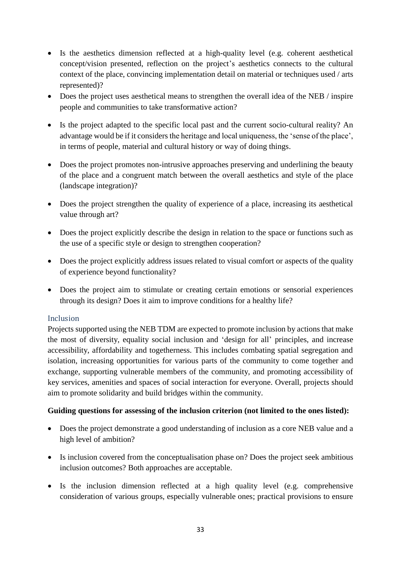- Is the aesthetics dimension reflected at a high-quality level (e.g. coherent aesthetical concept/vision presented, reflection on the project's aesthetics connects to the cultural context of the place, convincing implementation detail on material or techniques used / arts represented)?
- Does the project uses aesthetical means to strengthen the overall idea of the NEB / inspire people and communities to take transformative action?
- Is the project adapted to the specific local past and the current socio-cultural reality? An advantage would be if it considers the heritage and local uniqueness, the 'sense of the place', in terms of people, material and cultural history or way of doing things.
- Does the project promotes non-intrusive approaches preserving and underlining the beauty of the place and a congruent match between the overall aesthetics and style of the place (landscape integration)?
- Does the project strengthen the quality of experience of a place, increasing its aesthetical value through art?
- Does the project explicitly describe the design in relation to the space or functions such as the use of a specific style or design to strengthen cooperation?
- Does the project explicitly address issues related to visual comfort or aspects of the quality of experience beyond functionality?
- Does the project aim to stimulate or creating certain emotions or sensorial experiences through its design? Does it aim to improve conditions for a healthy life?

#### <span id="page-33-0"></span>Inclusion

Projects supported using the NEB TDM are expected to promote inclusion by actions that make the most of diversity, equality social inclusion and 'design for all' principles, and increase accessibility, affordability and togetherness. This includes combating spatial segregation and isolation, increasing opportunities for various parts of the community to come together and exchange, supporting vulnerable members of the community, and promoting accessibility of key services, amenities and spaces of social interaction for everyone. Overall, projects should aim to promote solidarity and build bridges within the community.

#### **Guiding questions for assessing of the inclusion criterion (not limited to the ones listed):**

- Does the project demonstrate a good understanding of inclusion as a core NEB value and a high level of ambition?
- Is inclusion covered from the conceptualisation phase on? Does the project seek ambitious inclusion outcomes? Both approaches are acceptable.
- Is the inclusion dimension reflected at a high quality level (e.g. comprehensive consideration of various groups, especially vulnerable ones; practical provisions to ensure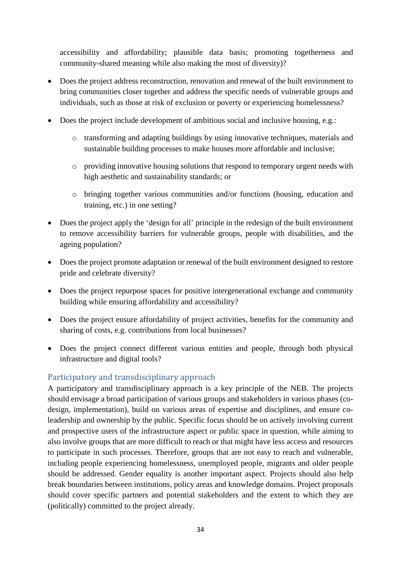accessibility and affordability; plausible data basis; promoting togetherness and community-shared meaning while also making the most of diversity)?

- Does the project address reconstruction, renovation and renewal of the built environment to bring communities closer together and address the specific needs of vulnerable groups and individuals, such as those at risk of exclusion or poverty or experiencing homelessness?
- Does the project include development of ambitious social and inclusive housing, e.g.:
	- o transforming and adapting buildings by using innovative techniques, materials and sustainable building processes to make houses more affordable and inclusive;
	- o providing innovative housing solutions that respond to temporary urgent needs with high aesthetic and sustainability standards; or
	- o bringing together various communities and/or functions (housing, education and training, etc.) in one setting?
- Does the project apply the 'design for all' principle in the redesign of the built environment to remove accessibility barriers for vulnerable groups, people with disabilities, and the ageing population?
- Does the project promote adaptation or renewal of the built environment designed to restore pride and celebrate diversity?
- Does the project repurpose spaces for positive intergenerational exchange and community building while ensuring affordability and accessibility?
- Does the project ensure affordability of project activities, benefits for the community and sharing of costs, e.g. contributions from local businesses?
- Does the project connect different various entities and people, through both physical infrastructure and digital tools?

## <span id="page-34-0"></span>Participatory and transdisciplinary approach

A participatory and transdisciplinary approach is a key principle of the NEB. The projects should envisage a broad participation of various groups and stakeholders in various phases (codesign, implementation), build on various areas of expertise and disciplines, and ensure coleadership and ownership by the public. Specific focus should be on actively involving current and prospective users of the infrastructure aspect or public space in question, while aiming to also involve groups that are more difficult to reach or that might have less access and resources to participate in such processes. Therefore, groups that are not easy to reach and vulnerable, including people experiencing homelessness, unemployed people, migrants and older people should be addressed. Gender equality is another important aspect. Projects should also help break boundaries between institutions, policy areas and knowledge domains. Project proposals should cover specific partners and potential stakeholders and the extent to which they are (politically) committed to the project already.